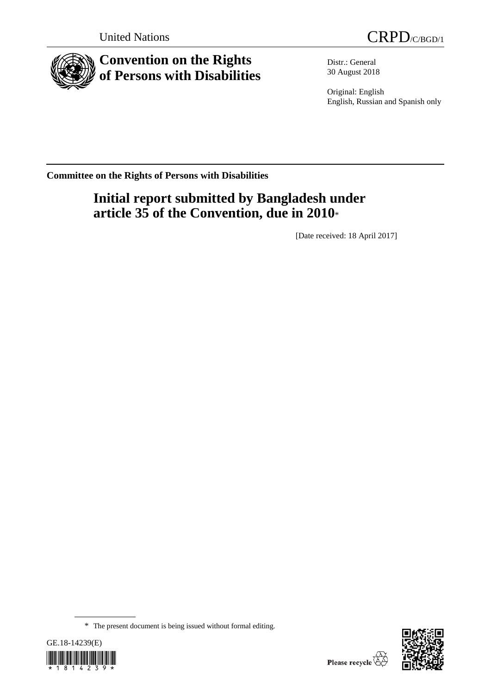

# **Convention on the Rights of Persons with Disabilities**

Distr.: General 30 August 2018

Original: English English, Russian and Spanish only

**Committee on the Rights of Persons with Disabilities**

# **Initial report submitted by Bangladesh under article 35 of the Convention, due in 2010**\*

[Date received: 18 April 2017]

<sup>\*</sup> The present document is being issued without formal editing.



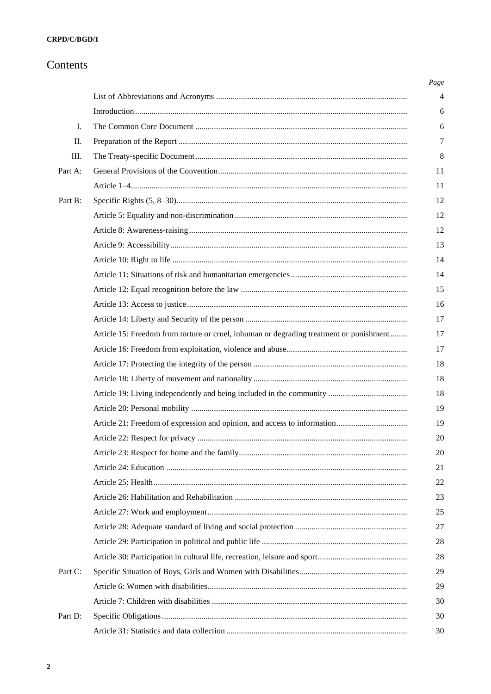# Contents

| Ι.      |                                                                                         |
|---------|-----------------------------------------------------------------------------------------|
| П.      |                                                                                         |
| Ш.      |                                                                                         |
| Part A: |                                                                                         |
|         |                                                                                         |
| Part B: |                                                                                         |
|         |                                                                                         |
|         |                                                                                         |
|         |                                                                                         |
|         |                                                                                         |
|         |                                                                                         |
|         |                                                                                         |
|         |                                                                                         |
|         |                                                                                         |
|         | Article 15: Freedom from torture or cruel, inhuman or degrading treatment or punishment |
|         |                                                                                         |
|         |                                                                                         |
|         |                                                                                         |
|         |                                                                                         |
|         |                                                                                         |
|         |                                                                                         |
|         |                                                                                         |
|         |                                                                                         |
|         |                                                                                         |
|         |                                                                                         |
|         |                                                                                         |
|         |                                                                                         |
|         |                                                                                         |
|         |                                                                                         |
|         |                                                                                         |
| Part C: |                                                                                         |
|         |                                                                                         |
|         |                                                                                         |
| Part D: |                                                                                         |
|         |                                                                                         |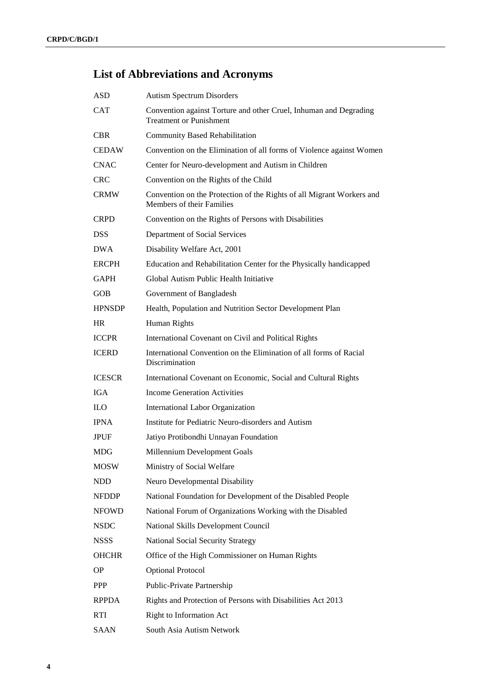# **List of Abbreviations and Acronyms**

| <b>ASD</b>      | <b>Autism Spectrum Disorders</b>                                                                    |
|-----------------|-----------------------------------------------------------------------------------------------------|
| <b>CAT</b>      | Convention against Torture and other Cruel, Inhuman and Degrading<br><b>Treatment or Punishment</b> |
| CBR.            | <b>Community Based Rehabilitation</b>                                                               |
| <b>CEDAW</b>    | Convention on the Elimination of all forms of Violence against Women                                |
| <b>CNAC</b>     | Center for Neuro-development and Autism in Children                                                 |
| <b>CRC</b>      | Convention on the Rights of the Child                                                               |
| <b>CRMW</b>     | Convention on the Protection of the Rights of all Migrant Workers and<br>Members of their Families  |
| <b>CRPD</b>     | Convention on the Rights of Persons with Disabilities                                               |
| <b>DSS</b>      | Department of Social Services                                                                       |
| DWA             | Disability Welfare Act, 2001                                                                        |
| <b>ERCPH</b>    | Education and Rehabilitation Center for the Physically handicapped                                  |
| <b>GAPH</b>     | Global Autism Public Health Initiative                                                              |
| <b>GOB</b>      | Government of Bangladesh                                                                            |
| <b>HPNSDP</b>   | Health, Population and Nutrition Sector Development Plan                                            |
| <b>HR</b>       | Human Rights                                                                                        |
| <b>ICCPR</b>    | International Covenant on Civil and Political Rights                                                |
| <b>ICERD</b>    | International Convention on the Elimination of all forms of Racial<br>Discrimination                |
| <b>ICESCR</b>   | International Covenant on Economic, Social and Cultural Rights                                      |
| <b>IGA</b>      | <b>Income Generation Activities</b>                                                                 |
| $_{\text{ILO}}$ | International Labor Organization                                                                    |
| <b>IPNA</b>     | Institute for Pediatric Neuro-disorders and Autism                                                  |
| <b>JPUF</b>     | Jatiyo Protibondhi Unnayan Foundation                                                               |
| MDG             | Millennium Development Goals                                                                        |
| <b>MOSW</b>     | Ministry of Social Welfare                                                                          |
| NDD             | Neuro Developmental Disability                                                                      |
| <b>NFDDP</b>    | National Foundation for Development of the Disabled People                                          |
| <b>NFOWD</b>    | National Forum of Organizations Working with the Disabled                                           |
| <b>NSDC</b>     | National Skills Development Council                                                                 |
| <b>NSSS</b>     | <b>National Social Security Strategy</b>                                                            |
| <b>OHCHR</b>    | Office of the High Commissioner on Human Rights                                                     |
| <b>OP</b>       | <b>Optional Protocol</b>                                                                            |
| <b>PPP</b>      | Public-Private Partnership                                                                          |
| <b>RPPDA</b>    | Rights and Protection of Persons with Disabilities Act 2013                                         |
| <b>RTI</b>      | <b>Right to Information Act</b>                                                                     |
| SAAN            | South Asia Autism Network                                                                           |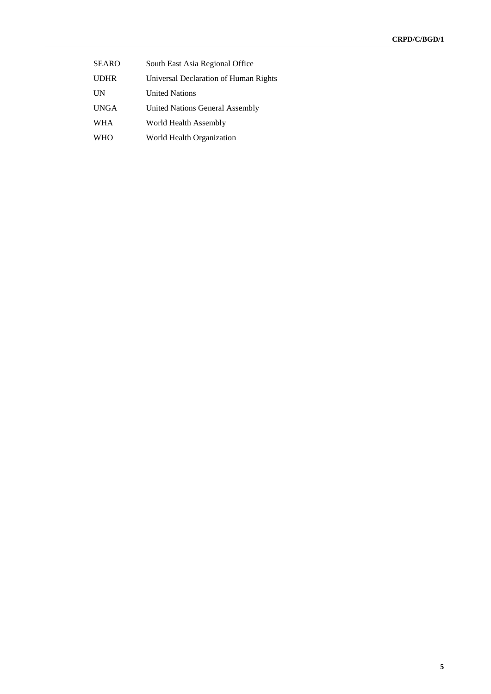| <b>SEARO</b> | South East Asia Regional Office       |
|--------------|---------------------------------------|
| <b>UDHR</b>  | Universal Declaration of Human Rights |
| UN           | <b>United Nations</b>                 |
| <b>UNGA</b>  | United Nations General Assembly       |
| WHA          | World Health Assembly                 |
| <b>WHO</b>   | World Health Organization             |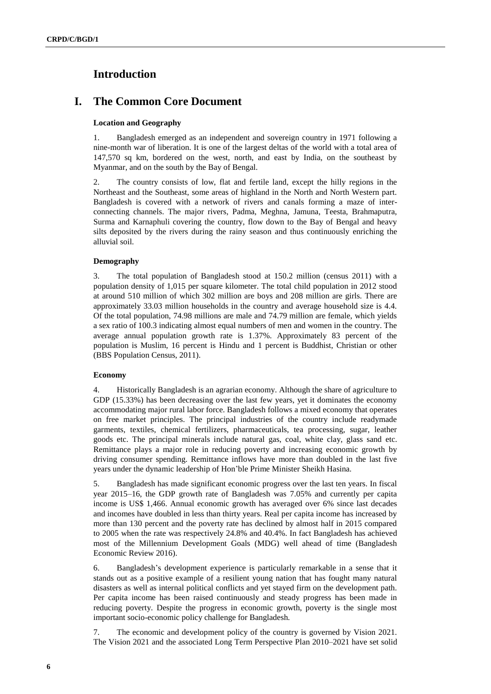# **Introduction**

# **I. The Common Core Document**

#### **Location and Geography**

1. Bangladesh emerged as an independent and sovereign country in 1971 following a nine-month war of liberation. It is one of the largest deltas of the world with a total area of 147,570 sq km, bordered on the west, north, and east by India, on the southeast by Myanmar, and on the south by the Bay of Bengal.

2. The country consists of low, flat and fertile land, except the hilly regions in the Northeast and the Southeast, some areas of highland in the North and North Western part. Bangladesh is covered with a network of rivers and canals forming a maze of interconnecting channels. The major rivers, Padma, Meghna, Jamuna, Teesta, Brahmaputra, Surma and Karnaphuli covering the country, flow down to the Bay of Bengal and heavy silts deposited by the rivers during the rainy season and thus continuously enriching the alluvial soil.

#### **Demography**

3. The total population of Bangladesh stood at 150.2 million (census 2011) with a population density of 1,015 per square kilometer. The total child population in 2012 stood at around 510 million of which 302 million are boys and 208 million are girls. There are approximately 33.03 million households in the country and average household size is 4.4. Of the total population, 74.98 millions are male and 74.79 million are female, which yields a sex ratio of 100.3 indicating almost equal numbers of men and women in the country. The average annual population growth rate is 1.37%. Approximately 83 percent of the population is Muslim, 16 percent is Hindu and 1 percent is Buddhist, Christian or other (BBS Population Census, 2011).

#### **Economy**

4. Historically Bangladesh is an agrarian economy. Although the share of agriculture to GDP (15.33%) has been decreasing over the last few years, yet it dominates the economy accommodating major rural labor force. Bangladesh follows a mixed economy that operates on free market principles. The principal industries of the country include readymade garments, textiles, chemical fertilizers, pharmaceuticals, tea processing, sugar, leather goods etc. The principal minerals include natural gas, coal, white clay, glass sand etc. Remittance plays a major role in reducing poverty and increasing economic growth by driving consumer spending. Remittance inflows have more than doubled in the last five years under the dynamic leadership of Hon'ble Prime Minister Sheikh Hasina.

5. Bangladesh has made significant economic progress over the last ten years. In fiscal year 2015–16, the GDP growth rate of Bangladesh was 7.05% and currently per capita income is US\$ 1,466. Annual economic growth has averaged over 6% since last decades and incomes have doubled in less than thirty years. Real per capita income has increased by more than 130 percent and the poverty rate has declined by almost half in 2015 compared to 2005 when the rate was respectively 24.8% and 40.4%. In fact Bangladesh has achieved most of the Millennium Development Goals (MDG) well ahead of time (Bangladesh Economic Review 2016).

6. Bangladesh's development experience is particularly remarkable in a sense that it stands out as a positive example of a resilient young nation that has fought many natural disasters as well as internal political conflicts and yet stayed firm on the development path. Per capita income has been raised continuously and steady progress has been made in reducing poverty. Despite the progress in economic growth, poverty is the single most important socio-economic policy challenge for Bangladesh.

7. The economic and development policy of the country is governed by Vision 2021. The Vision 2021 and the associated Long Term Perspective Plan 2010–2021 have set solid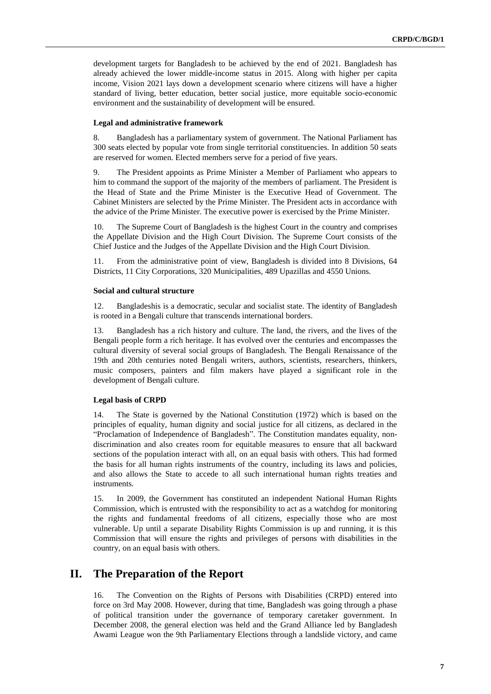development targets for Bangladesh to be achieved by the end of 2021. Bangladesh has already achieved the lower middle-income status in 2015. Along with higher per capita income, Vision 2021 lays down a development scenario where citizens will have a higher standard of living, better education, better social justice, more equitable socio-economic environment and the sustainability of development will be ensured.

#### **Legal and administrative framework**

8. Bangladesh has a parliamentary system of government. The National Parliament has 300 seats elected by popular vote from single territorial constituencies. In addition 50 seats are reserved for women. Elected members serve for a period of five years.

9. The President appoints as Prime Minister a Member of Parliament who appears to him to command the support of the majority of the members of parliament. The President is the Head of State and the Prime Minister is the Executive Head of Government. The Cabinet Ministers are selected by the Prime Minister. The President acts in accordance with the advice of the Prime Minister. The executive power is exercised by the Prime Minister.

10. The Supreme Court of Bangladesh is the highest Court in the country and comprises the Appellate Division and the High Court Division. The Supreme Court consists of the Chief Justice and the Judges of the Appellate Division and the High Court Division.

11. From the administrative point of view, Bangladesh is divided into 8 Divisions, 64 Districts, 11 City Corporations, 320 Municipalities, 489 Upazillas and 4550 Unions.

#### **Social and cultural structure**

12. Bangladeshis is a democratic, secular and socialist state. The identity of Bangladesh is rooted in a Bengali culture that transcends international borders.

13. Bangladesh has a rich history and culture. The land, the rivers, and the lives of the Bengali people form a rich heritage. It has evolved over the centuries and encompasses the cultural diversity of several social groups of Bangladesh. The Bengali Renaissance of the 19th and 20th centuries noted Bengali writers, authors, scientists, researchers, thinkers, music composers, painters and film makers have played a significant role in the development of Bengali culture.

#### **Legal basis of CRPD**

14. The State is governed by the National Constitution (1972) which is based on the principles of equality, human dignity and social justice for all citizens, as declared in the "Proclamation of Independence of Bangladesh". The Constitution mandates equality, nondiscrimination and also creates room for equitable measures to ensure that all backward sections of the population interact with all, on an equal basis with others. This had formed the basis for all human rights instruments of the country, including its laws and policies, and also allows the State to accede to all such international human rights treaties and instruments.

15. In 2009, the Government has constituted an independent National Human Rights Commission, which is entrusted with the responsibility to act as a watchdog for monitoring the rights and fundamental freedoms of all citizens, especially those who are most vulnerable. Up until a separate Disability Rights Commission is up and running, it is this Commission that will ensure the rights and privileges of persons with disabilities in the country, on an equal basis with others.

## **II. The Preparation of the Report**

16. The Convention on the Rights of Persons with Disabilities (CRPD) entered into force on 3rd May 2008. However, during that time, Bangladesh was going through a phase of political transition under the governance of temporary caretaker government. In December 2008, the general election was held and the Grand Alliance led by Bangladesh Awami League won the 9th Parliamentary Elections through a landslide victory, and came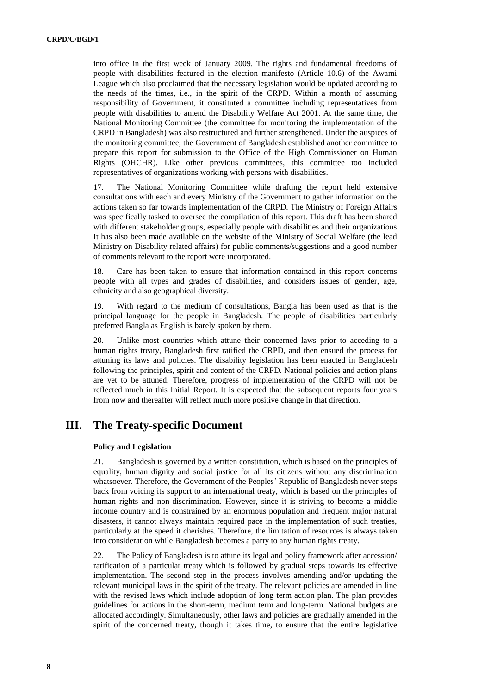into office in the first week of January 2009. The rights and fundamental freedoms of people with disabilities featured in the election manifesto (Article 10.6) of the Awami League which also proclaimed that the necessary legislation would be updated according to the needs of the times, i.e., in the spirit of the CRPD. Within a month of assuming responsibility of Government, it constituted a committee including representatives from people with disabilities to amend the Disability Welfare Act 2001. At the same time, the National Monitoring Committee (the committee for monitoring the implementation of the CRPD in Bangladesh) was also restructured and further strengthened. Under the auspices of the monitoring committee, the Government of Bangladesh established another committee to prepare this report for submission to the Office of the High Commissioner on Human Rights (OHCHR). Like other previous committees, this committee too included representatives of organizations working with persons with disabilities.

17. The National Monitoring Committee while drafting the report held extensive consultations with each and every Ministry of the Government to gather information on the actions taken so far towards implementation of the CRPD. The Ministry of Foreign Affairs was specifically tasked to oversee the compilation of this report. This draft has been shared with different stakeholder groups, especially people with disabilities and their organizations. It has also been made available on the website of the Ministry of Social Welfare (the lead Ministry on Disability related affairs) for public comments/suggestions and a good number of comments relevant to the report were incorporated.

18. Care has been taken to ensure that information contained in this report concerns people with all types and grades of disabilities, and considers issues of gender, age, ethnicity and also geographical diversity.

19. With regard to the medium of consultations, Bangla has been used as that is the principal language for the people in Bangladesh. The people of disabilities particularly preferred Bangla as English is barely spoken by them.

20. Unlike most countries which attune their concerned laws prior to acceding to a human rights treaty, Bangladesh first ratified the CRPD, and then ensued the process for attuning its laws and policies. The disability legislation has been enacted in Bangladesh following the principles, spirit and content of the CRPD. National policies and action plans are yet to be attuned. Therefore, progress of implementation of the CRPD will not be reflected much in this Initial Report. It is expected that the subsequent reports four years from now and thereafter will reflect much more positive change in that direction.

### **III. The Treaty-specific Document**

#### **Policy and Legislation**

21. Bangladesh is governed by a written constitution, which is based on the principles of equality, human dignity and social justice for all its citizens without any discrimination whatsoever. Therefore, the Government of the Peoples' Republic of Bangladesh never steps back from voicing its support to an international treaty, which is based on the principles of human rights and non-discrimination. However, since it is striving to become a middle income country and is constrained by an enormous population and frequent major natural disasters, it cannot always maintain required pace in the implementation of such treaties, particularly at the speed it cherishes. Therefore, the limitation of resources is always taken into consideration while Bangladesh becomes a party to any human rights treaty.

22. The Policy of Bangladesh is to attune its legal and policy framework after accession/ ratification of a particular treaty which is followed by gradual steps towards its effective implementation. The second step in the process involves amending and/or updating the relevant municipal laws in the spirit of the treaty. The relevant policies are amended in line with the revised laws which include adoption of long term action plan. The plan provides guidelines for actions in the short-term, medium term and long-term. National budgets are allocated accordingly. Simultaneously, other laws and policies are gradually amended in the spirit of the concerned treaty, though it takes time, to ensure that the entire legislative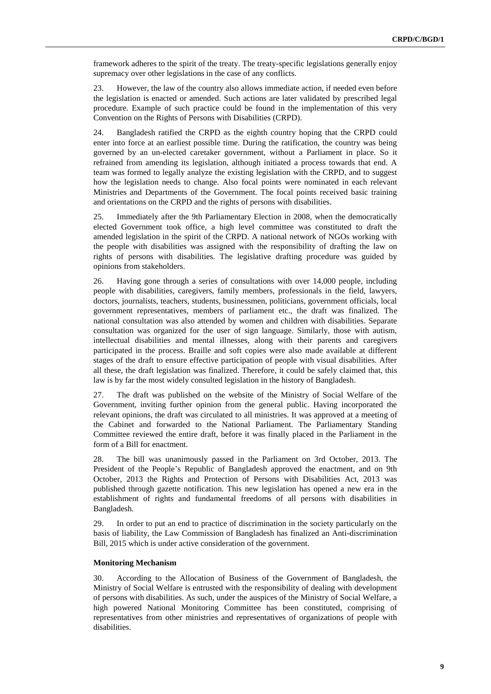framework adheres to the spirit of the treaty. The treaty-specific legislations generally enjoy supremacy over other legislations in the case of any conflicts.

23. However, the law of the country also allows immediate action, if needed even before the legislation is enacted or amended. Such actions are later validated by prescribed legal procedure. Example of such practice could be found in the implementation of this very Convention on the Rights of Persons with Disabilities (CRPD).

24. Bangladesh ratified the CRPD as the eighth country hoping that the CRPD could enter into force at an earliest possible time. During the ratification, the country was being governed by an un-elected caretaker government, without a Parliament in place. So it refrained from amending its legislation, although initiated a process towards that end. A team was formed to legally analyze the existing legislation with the CRPD, and to suggest how the legislation needs to change. Also focal points were nominated in each relevant Ministries and Departments of the Government. The focal points received basic training and orientations on the CRPD and the rights of persons with disabilities.

25. Immediately after the 9th Parliamentary Election in 2008, when the democratically elected Government took office, a high level committee was constituted to draft the amended legislation in the spirit of the CRPD. A national network of NGOs working with the people with disabilities was assigned with the responsibility of drafting the law on rights of persons with disabilities. The legislative drafting procedure was guided by opinions from stakeholders.

26. Having gone through a series of consultations with over 14,000 people, including people with disabilities, caregivers, family members, professionals in the field, lawyers, doctors, journalists, teachers, students, businessmen, politicians, government officials, local government representatives, members of parliament etc., the draft was finalized. The national consultation was also attended by women and children with disabilities. Separate consultation was organized for the user of sign language. Similarly, those with autism, intellectual disabilities and mental illnesses, along with their parents and caregivers participated in the process. Braille and soft copies were also made available at different stages of the draft to ensure effective participation of people with visual disabilities. After all these, the draft legislation was finalized. Therefore, it could be safely claimed that, this law is by far the most widely consulted legislation in the history of Bangladesh.

27. The draft was published on the website of the Ministry of Social Welfare of the Government, inviting further opinion from the general public. Having incorporated the relevant opinions, the draft was circulated to all ministries. It was approved at a meeting of the Cabinet and forwarded to the National Parliament. The Parliamentary Standing Committee reviewed the entire draft, before it was finally placed in the Parliament in the form of a Bill for enactment.

28. The bill was unanimously passed in the Parliament on 3rd October, 2013. The President of the People's Republic of Bangladesh approved the enactment, and on 9th October, 2013 the Rights and Protection of Persons with Disabilities Act, 2013 was published through gazette notification. This new legislation has opened a new era in the establishment of rights and fundamental freedoms of all persons with disabilities in Bangladesh.

29. In order to put an end to practice of discrimination in the society particularly on the basis of liability, the Law Commission of Bangladesh has finalized an Anti-discrimination Bill, 2015 which is under active consideration of the government.

#### **Monitoring Mechanism**

30. According to the Allocation of Business of the Government of Bangladesh, the Ministry of Social Welfare is entrusted with the responsibility of dealing with development of persons with disabilities. As such, under the auspices of the Ministry of Social Welfare, a high powered National Monitoring Committee has been constituted, comprising of representatives from other ministries and representatives of organizations of people with disabilities.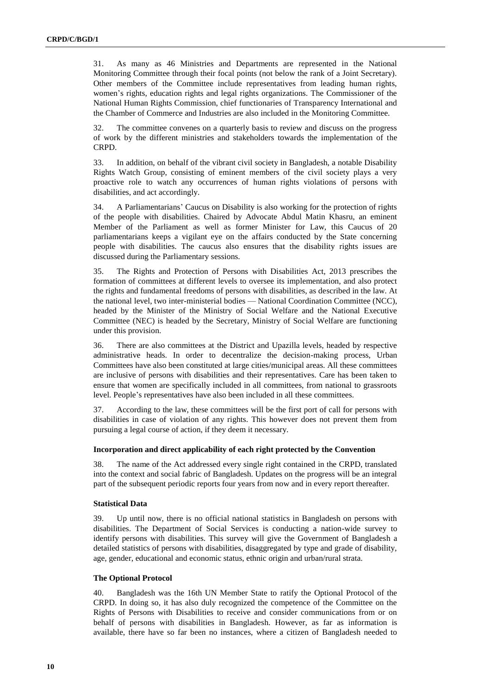31. As many as 46 Ministries and Departments are represented in the National Monitoring Committee through their focal points (not below the rank of a Joint Secretary). Other members of the Committee include representatives from leading human rights, women's rights, education rights and legal rights organizations. The Commissioner of the National Human Rights Commission, chief functionaries of Transparency International and the Chamber of Commerce and Industries are also included in the Monitoring Committee.

32. The committee convenes on a quarterly basis to review and discuss on the progress of work by the different ministries and stakeholders towards the implementation of the CRPD.

33. In addition, on behalf of the vibrant civil society in Bangladesh, a notable Disability Rights Watch Group, consisting of eminent members of the civil society plays a very proactive role to watch any occurrences of human rights violations of persons with disabilities, and act accordingly.

34. A Parliamentarians' Caucus on Disability is also working for the protection of rights of the people with disabilities. Chaired by Advocate Abdul Matin Khasru, an eminent Member of the Parliament as well as former Minister for Law, this Caucus of 20 parliamentarians keeps a vigilant eye on the affairs conducted by the State concerning people with disabilities. The caucus also ensures that the disability rights issues are discussed during the Parliamentary sessions.

35. The Rights and Protection of Persons with Disabilities Act, 2013 prescribes the formation of committees at different levels to oversee its implementation, and also protect the rights and fundamental freedoms of persons with disabilities, as described in the law. At the national level, two inter-ministerial bodies — National Coordination Committee (NCC), headed by the Minister of the Ministry of Social Welfare and the National Executive Committee (NEC) is headed by the Secretary, Ministry of Social Welfare are functioning under this provision.

36. There are also committees at the District and Upazilla levels, headed by respective administrative heads. In order to decentralize the decision-making process, Urban Committees have also been constituted at large cities/municipal areas. All these committees are inclusive of persons with disabilities and their representatives. Care has been taken to ensure that women are specifically included in all committees, from national to grassroots level. People's representatives have also been included in all these committees.

37. According to the law, these committees will be the first port of call for persons with disabilities in case of violation of any rights. This however does not prevent them from pursuing a legal course of action, if they deem it necessary.

#### **Incorporation and direct applicability of each right protected by the Convention**

38. The name of the Act addressed every single right contained in the CRPD, translated into the context and social fabric of Bangladesh. Updates on the progress will be an integral part of the subsequent periodic reports four years from now and in every report thereafter.

#### **Statistical Data**

39. Up until now, there is no official national statistics in Bangladesh on persons with disabilities. The Department of Social Services is conducting a nation-wide survey to identify persons with disabilities. This survey will give the Government of Bangladesh a detailed statistics of persons with disabilities, disaggregated by type and grade of disability, age, gender, educational and economic status, ethnic origin and urban/rural strata.

#### **The Optional Protocol**

40. Bangladesh was the 16th UN Member State to ratify the Optional Protocol of the CRPD. In doing so, it has also duly recognized the competence of the Committee on the Rights of Persons with Disabilities to receive and consider communications from or on behalf of persons with disabilities in Bangladesh. However, as far as information is available, there have so far been no instances, where a citizen of Bangladesh needed to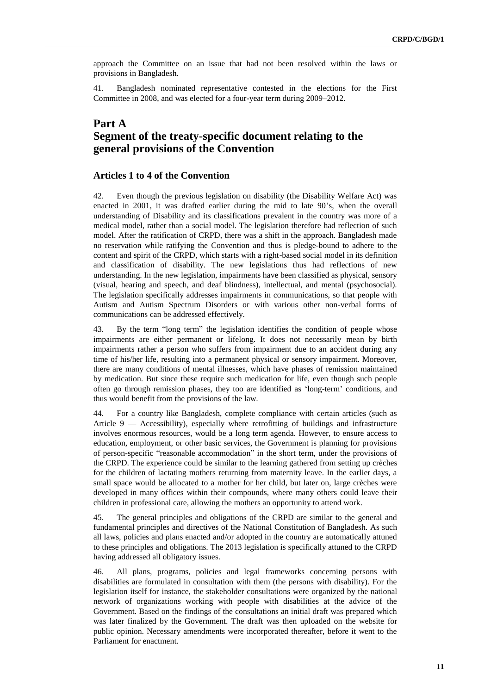approach the Committee on an issue that had not been resolved within the laws or provisions in Bangladesh.

41. Bangladesh nominated representative contested in the elections for the First Committee in 2008, and was elected for a four-year term during 2009–2012.

## **Part A Segment of the treaty-specific document relating to the general provisions of the Convention**

#### **Articles 1 to 4 of the Convention**

42. Even though the previous legislation on disability (the Disability Welfare Act) was enacted in 2001, it was drafted earlier during the mid to late 90's, when the overall understanding of Disability and its classifications prevalent in the country was more of a medical model, rather than a social model. The legislation therefore had reflection of such model. After the ratification of CRPD, there was a shift in the approach. Bangladesh made no reservation while ratifying the Convention and thus is pledge-bound to adhere to the content and spirit of the CRPD, which starts with a right-based social model in its definition and classification of disability. The new legislations thus had reflections of new understanding. In the new legislation, impairments have been classified as physical, sensory (visual, hearing and speech, and deaf blindness), intellectual, and mental (psychosocial). The legislation specifically addresses impairments in communications, so that people with Autism and Autism Spectrum Disorders or with various other non-verbal forms of communications can be addressed effectively.

43. By the term "long term" the legislation identifies the condition of people whose impairments are either permanent or lifelong. It does not necessarily mean by birth impairments rather a person who suffers from impairment due to an accident during any time of his/her life, resulting into a permanent physical or sensory impairment. Moreover, there are many conditions of mental illnesses, which have phases of remission maintained by medication. But since these require such medication for life, even though such people often go through remission phases, they too are identified as 'long-term' conditions, and thus would benefit from the provisions of the law.

44. For a country like Bangladesh, complete compliance with certain articles (such as Article 9 — Accessibility), especially where retrofitting of buildings and infrastructure involves enormous resources, would be a long term agenda. However, to ensure access to education, employment, or other basic services, the Government is planning for provisions of person-specific "reasonable accommodation" in the short term, under the provisions of the CRPD. The experience could be similar to the learning gathered from setting up crèches for the children of lactating mothers returning from maternity leave. In the earlier days, a small space would be allocated to a mother for her child, but later on, large crèches were developed in many offices within their compounds, where many others could leave their children in professional care, allowing the mothers an opportunity to attend work.

45. The general principles and obligations of the CRPD are similar to the general and fundamental principles and directives of the National Constitution of Bangladesh. As such all laws, policies and plans enacted and/or adopted in the country are automatically attuned to these principles and obligations. The 2013 legislation is specifically attuned to the CRPD having addressed all obligatory issues.

46. All plans, programs, policies and legal frameworks concerning persons with disabilities are formulated in consultation with them (the persons with disability). For the legislation itself for instance, the stakeholder consultations were organized by the national network of organizations working with people with disabilities at the advice of the Government. Based on the findings of the consultations an initial draft was prepared which was later finalized by the Government. The draft was then uploaded on the website for public opinion. Necessary amendments were incorporated thereafter, before it went to the Parliament for enactment.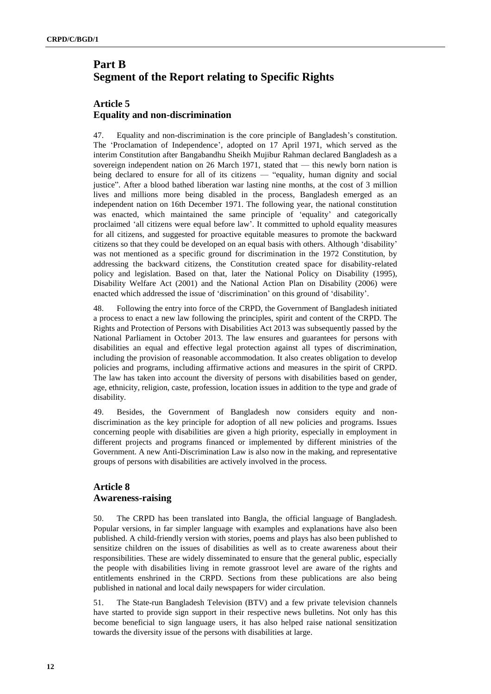# **Part B Segment of the Report relating to Specific Rights**

## **Article 5 Equality and non-discrimination**

47. Equality and non-discrimination is the core principle of Bangladesh's constitution. The 'Proclamation of Independence', adopted on 17 April 1971, which served as the interim Constitution after Bangabandhu Sheikh Mujibur Rahman declared Bangladesh as a sovereign independent nation on 26 March 1971, stated that — this newly born nation is being declared to ensure for all of its citizens — "equality, human dignity and social justice". After a blood bathed liberation war lasting nine months, at the cost of 3 million lives and millions more being disabled in the process, Bangladesh emerged as an independent nation on 16th December 1971. The following year, the national constitution was enacted, which maintained the same principle of 'equality' and categorically proclaimed 'all citizens were equal before law'. It committed to uphold equality measures for all citizens, and suggested for proactive equitable measures to promote the backward citizens so that they could be developed on an equal basis with others. Although 'disability' was not mentioned as a specific ground for discrimination in the 1972 Constitution, by addressing the backward citizens, the Constitution created space for disability-related policy and legislation. Based on that, later the National Policy on Disability (1995), Disability Welfare Act (2001) and the National Action Plan on Disability (2006) were enacted which addressed the issue of 'discrimination' on this ground of 'disability'.

48. Following the entry into force of the CRPD, the Government of Bangladesh initiated a process to enact a new law following the principles, spirit and content of the CRPD. The Rights and Protection of Persons with Disabilities Act 2013 was subsequently passed by the National Parliament in October 2013. The law ensures and guarantees for persons with disabilities an equal and effective legal protection against all types of discrimination, including the provision of reasonable accommodation. It also creates obligation to develop policies and programs, including affirmative actions and measures in the spirit of CRPD. The law has taken into account the diversity of persons with disabilities based on gender, age, ethnicity, religion, caste, profession, location issues in addition to the type and grade of disability.

49. Besides, the Government of Bangladesh now considers equity and nondiscrimination as the key principle for adoption of all new policies and programs. Issues concerning people with disabilities are given a high priority, especially in employment in different projects and programs financed or implemented by different ministries of the Government. A new Anti-Discrimination Law is also now in the making, and representative groups of persons with disabilities are actively involved in the process.

### **Article 8 Awareness-raising**

50. The CRPD has been translated into Bangla, the official language of Bangladesh. Popular versions, in far simpler language with examples and explanations have also been published. A child-friendly version with stories, poems and plays has also been published to sensitize children on the issues of disabilities as well as to create awareness about their responsibilities. These are widely disseminated to ensure that the general public, especially the people with disabilities living in remote grassroot level are aware of the rights and entitlements enshrined in the CRPD. Sections from these publications are also being published in national and local daily newspapers for wider circulation.

51. The State-run Bangladesh Television (BTV) and a few private television channels have started to provide sign support in their respective news bulletins. Not only has this become beneficial to sign language users, it has also helped raise national sensitization towards the diversity issue of the persons with disabilities at large.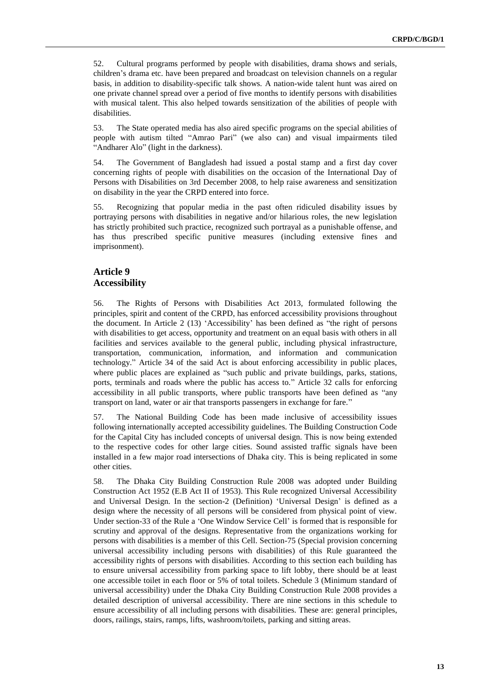52. Cultural programs performed by people with disabilities, drama shows and serials, children's drama etc. have been prepared and broadcast on television channels on a regular basis, in addition to disability-specific talk shows. A nation-wide talent hunt was aired on one private channel spread over a period of five months to identify persons with disabilities with musical talent. This also helped towards sensitization of the abilities of people with disabilities.

53. The State operated media has also aired specific programs on the special abilities of people with autism tilted "Amrao Pari" (we also can) and visual impairments tiled "Andharer Alo" (light in the darkness).

54. The Government of Bangladesh had issued a postal stamp and a first day cover concerning rights of people with disabilities on the occasion of the International Day of Persons with Disabilities on 3rd December 2008, to help raise awareness and sensitization on disability in the year the CRPD entered into force.

55. Recognizing that popular media in the past often ridiculed disability issues by portraying persons with disabilities in negative and/or hilarious roles, the new legislation has strictly prohibited such practice, recognized such portrayal as a punishable offense, and has thus prescribed specific punitive measures (including extensive fines and imprisonment).

#### **Article 9 Accessibility**

56. The Rights of Persons with Disabilities Act 2013, formulated following the principles, spirit and content of the CRPD, has enforced accessibility provisions throughout the document. In Article 2 (13) 'Accessibility' has been defined as "the right of persons with disabilities to get access, opportunity and treatment on an equal basis with others in all facilities and services available to the general public, including physical infrastructure, transportation, communication, information, and information and communication technology." Article 34 of the said Act is about enforcing accessibility in public places, where public places are explained as "such public and private buildings, parks, stations, ports, terminals and roads where the public has access to." Article 32 calls for enforcing accessibility in all public transports, where public transports have been defined as "any transport on land, water or air that transports passengers in exchange for fare."

57. The National Building Code has been made inclusive of accessibility issues following internationally accepted accessibility guidelines. The Building Construction Code for the Capital City has included concepts of universal design. This is now being extended to the respective codes for other large cities. Sound assisted traffic signals have been installed in a few major road intersections of Dhaka city. This is being replicated in some other cities.

58. The Dhaka City Building Construction Rule 2008 was adopted under Building Construction Act 1952 (E.B Act II of 1953). This Rule recognized Universal Accessibility and Universal Design. In the section-2 (Definition) 'Universal Design' is defined as a design where the necessity of all persons will be considered from physical point of view. Under section-33 of the Rule a 'One Window Service Cell' is formed that is responsible for scrutiny and approval of the designs. Representative from the organizations working for persons with disabilities is a member of this Cell. Section-75 (Special provision concerning universal accessibility including persons with disabilities) of this Rule guaranteed the accessibility rights of persons with disabilities. According to this section each building has to ensure universal accessibility from parking space to lift lobby, there should be at least one accessible toilet in each floor or 5% of total toilets. Schedule 3 (Minimum standard of universal accessibility) under the Dhaka City Building Construction Rule 2008 provides a detailed description of universal accessibility. There are nine sections in this schedule to ensure accessibility of all including persons with disabilities. These are: general principles, doors, railings, stairs, ramps, lifts, washroom/toilets, parking and sitting areas.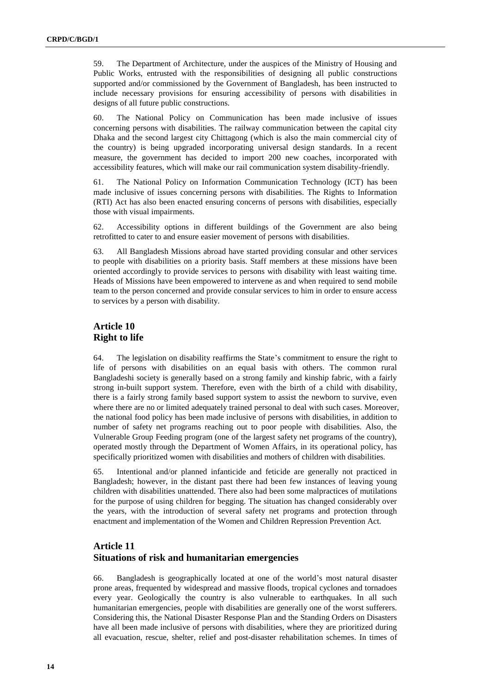59. The Department of Architecture, under the auspices of the Ministry of Housing and Public Works, entrusted with the responsibilities of designing all public constructions supported and/or commissioned by the Government of Bangladesh, has been instructed to include necessary provisions for ensuring accessibility of persons with disabilities in designs of all future public constructions.

60. The National Policy on Communication has been made inclusive of issues concerning persons with disabilities. The railway communication between the capital city Dhaka and the second largest city Chittagong (which is also the main commercial city of the country) is being upgraded incorporating universal design standards. In a recent measure, the government has decided to import 200 new coaches, incorporated with accessibility features, which will make our rail communication system disability-friendly.

61. The National Policy on Information Communication Technology (ICT) has been made inclusive of issues concerning persons with disabilities. The Rights to Information (RTI) Act has also been enacted ensuring concerns of persons with disabilities, especially those with visual impairments.

62. Accessibility options in different buildings of the Government are also being retrofitted to cater to and ensure easier movement of persons with disabilities.

63. All Bangladesh Missions abroad have started providing consular and other services to people with disabilities on a priority basis. Staff members at these missions have been oriented accordingly to provide services to persons with disability with least waiting time. Heads of Missions have been empowered to intervene as and when required to send mobile team to the person concerned and provide consular services to him in order to ensure access to services by a person with disability.

#### **Article 10 Right to life**

64. The legislation on disability reaffirms the State's commitment to ensure the right to life of persons with disabilities on an equal basis with others. The common rural Bangladeshi society is generally based on a strong family and kinship fabric, with a fairly strong in-built support system. Therefore, even with the birth of a child with disability, there is a fairly strong family based support system to assist the newborn to survive, even where there are no or limited adequately trained personal to deal with such cases. Moreover, the national food policy has been made inclusive of persons with disabilities, in addition to number of safety net programs reaching out to poor people with disabilities. Also, the Vulnerable Group Feeding program (one of the largest safety net programs of the country), operated mostly through the Department of Women Affairs, in its operational policy, has specifically prioritized women with disabilities and mothers of children with disabilities.

65. Intentional and/or planned infanticide and feticide are generally not practiced in Bangladesh; however, in the distant past there had been few instances of leaving young children with disabilities unattended. There also had been some malpractices of mutilations for the purpose of using children for begging. The situation has changed considerably over the years, with the introduction of several safety net programs and protection through enactment and implementation of the Women and Children Repression Prevention Act.

#### **Article 11 Situations of risk and humanitarian emergencies**

66. Bangladesh is geographically located at one of the world's most natural disaster prone areas, frequented by widespread and massive floods, tropical cyclones and tornadoes every year. Geologically the country is also vulnerable to earthquakes. In all such humanitarian emergencies, people with disabilities are generally one of the worst sufferers. Considering this, the National Disaster Response Plan and the Standing Orders on Disasters have all been made inclusive of persons with disabilities, where they are prioritized during all evacuation, rescue, shelter, relief and post-disaster rehabilitation schemes. In times of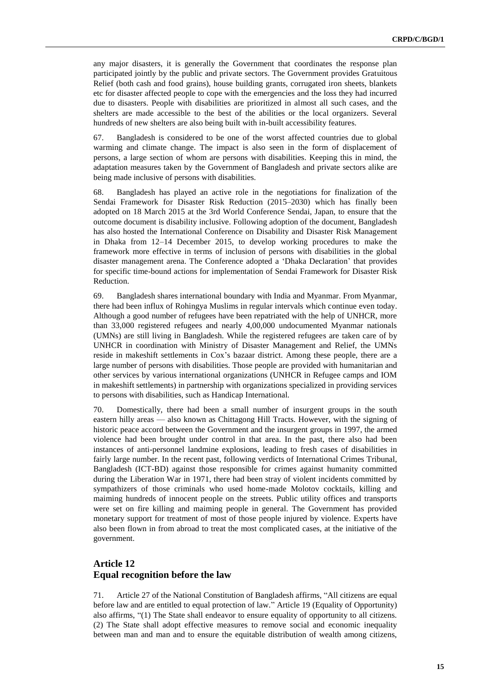any major disasters, it is generally the Government that coordinates the response plan participated jointly by the public and private sectors. The Government provides Gratuitous Relief (both cash and food grains), house building grants, corrugated iron sheets, blankets etc for disaster affected people to cope with the emergencies and the loss they had incurred due to disasters. People with disabilities are prioritized in almost all such cases, and the shelters are made accessible to the best of the abilities or the local organizers. Several hundreds of new shelters are also being built with in-built accessibility features.

67. Bangladesh is considered to be one of the worst affected countries due to global warming and climate change. The impact is also seen in the form of displacement of persons, a large section of whom are persons with disabilities. Keeping this in mind, the adaptation measures taken by the Government of Bangladesh and private sectors alike are being made inclusive of persons with disabilities.

68. Bangladesh has played an active role in the negotiations for finalization of the Sendai Framework for Disaster Risk Reduction (2015–2030) which has finally been adopted on 18 March 2015 at the 3rd World Conference Sendai, Japan, to ensure that the outcome document is disability inclusive. Following adoption of the document, Bangladesh has also hosted the International Conference on Disability and Disaster Risk Management in Dhaka from 12–14 December 2015, to develop working procedures to make the framework more effective in terms of inclusion of persons with disabilities in the global disaster management arena. The Conference adopted a 'Dhaka Declaration' that provides for specific time-bound actions for implementation of Sendai Framework for Disaster Risk Reduction.

69. Bangladesh shares international boundary with India and Myanmar. From Myanmar, there had been influx of Rohingya Muslims in regular intervals which continue even today. Although a good number of refugees have been repatriated with the help of UNHCR, more than 33,000 registered refugees and nearly 4,00,000 undocumented Myanmar nationals (UMNs) are still living in Bangladesh. While the registered refugees are taken care of by UNHCR in coordination with Ministry of Disaster Management and Relief, the UMNs reside in makeshift settlements in Cox's bazaar district. Among these people, there are a large number of persons with disabilities. Those people are provided with humanitarian and other services by various international organizations (UNHCR in Refugee camps and IOM in makeshift settlements) in partnership with organizations specialized in providing services to persons with disabilities, such as Handicap International.

70. Domestically, there had been a small number of insurgent groups in the south eastern hilly areas — also known as Chittagong Hill Tracts. However, with the signing of historic peace accord between the Government and the insurgent groups in 1997, the armed violence had been brought under control in that area. In the past, there also had been instances of anti-personnel landmine explosions, leading to fresh cases of disabilities in fairly large number. In the recent past, following verdicts of International Crimes Tribunal, Bangladesh (ICT-BD) against those responsible for crimes against humanity committed during the Liberation War in 1971, there had been stray of violent incidents committed by sympathizers of those criminals who used home-made Molotov cocktails, killing and maiming hundreds of innocent people on the streets. Public utility offices and transports were set on fire killing and maiming people in general. The Government has provided monetary support for treatment of most of those people injured by violence. Experts have also been flown in from abroad to treat the most complicated cases, at the initiative of the government.

### **Article 12 Equal recognition before the law**

71. Article 27 of the National Constitution of Bangladesh affirms, "All citizens are equal before law and are entitled to equal protection of law." Article 19 (Equality of Opportunity) also affirms, "(1) The State shall endeavor to ensure equality of opportunity to all citizens. (2) The State shall adopt effective measures to remove social and economic inequality between man and man and to ensure the equitable distribution of wealth among citizens,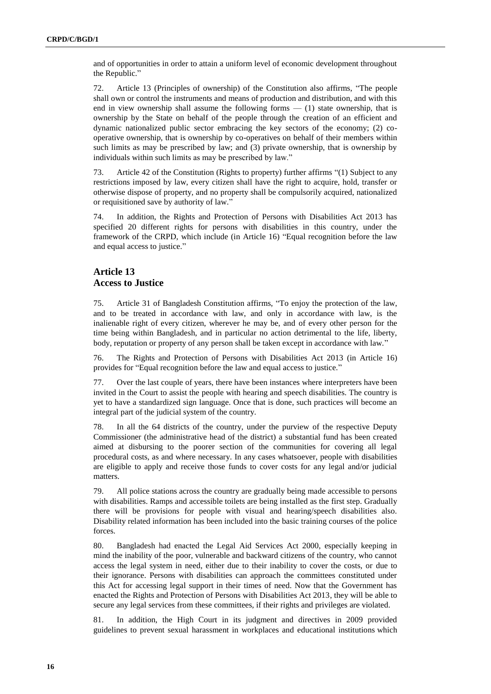and of opportunities in order to attain a uniform level of economic development throughout the Republic."

72. Article 13 (Principles of ownership) of the Constitution also affirms, "The people shall own or control the instruments and means of production and distribution, and with this end in view ownership shall assume the following forms — (1) state ownership, that is ownership by the State on behalf of the people through the creation of an efficient and dynamic nationalized public sector embracing the key sectors of the economy; (2) cooperative ownership, that is ownership by co-operatives on behalf of their members within such limits as may be prescribed by law; and (3) private ownership, that is ownership by individuals within such limits as may be prescribed by law."

73. Article 42 of the Constitution (Rights to property) further affirms "(1) Subject to any restrictions imposed by law, every citizen shall have the right to acquire, hold, transfer or otherwise dispose of property, and no property shall be compulsorily acquired, nationalized or requisitioned save by authority of law."

74. In addition, the Rights and Protection of Persons with Disabilities Act 2013 has specified 20 different rights for persons with disabilities in this country, under the framework of the CRPD, which include (in Article 16) "Equal recognition before the law and equal access to justice."

#### **Article 13 Access to Justice**

75. Article 31 of Bangladesh Constitution affirms, "To enjoy the protection of the law, and to be treated in accordance with law, and only in accordance with law, is the inalienable right of every citizen, wherever he may be, and of every other person for the time being within Bangladesh, and in particular no action detrimental to the life, liberty, body, reputation or property of any person shall be taken except in accordance with law."

76. The Rights and Protection of Persons with Disabilities Act 2013 (in Article 16) provides for "Equal recognition before the law and equal access to justice."

77. Over the last couple of years, there have been instances where interpreters have been invited in the Court to assist the people with hearing and speech disabilities. The country is yet to have a standardized sign language. Once that is done, such practices will become an integral part of the judicial system of the country.

78. In all the 64 districts of the country, under the purview of the respective Deputy Commissioner (the administrative head of the district) a substantial fund has been created aimed at disbursing to the poorer section of the communities for covering all legal procedural costs, as and where necessary. In any cases whatsoever, people with disabilities are eligible to apply and receive those funds to cover costs for any legal and/or judicial matters.

79. All police stations across the country are gradually being made accessible to persons with disabilities. Ramps and accessible toilets are being installed as the first step. Gradually there will be provisions for people with visual and hearing/speech disabilities also. Disability related information has been included into the basic training courses of the police forces.

80. Bangladesh had enacted the Legal Aid Services Act 2000, especially keeping in mind the inability of the poor, vulnerable and backward citizens of the country, who cannot access the legal system in need, either due to their inability to cover the costs, or due to their ignorance. Persons with disabilities can approach the committees constituted under this Act for accessing legal support in their times of need. Now that the Government has enacted the Rights and Protection of Persons with Disabilities Act 2013, they will be able to secure any legal services from these committees, if their rights and privileges are violated.

81. In addition, the High Court in its judgment and directives in 2009 provided guidelines to prevent sexual harassment in workplaces and educational institutions which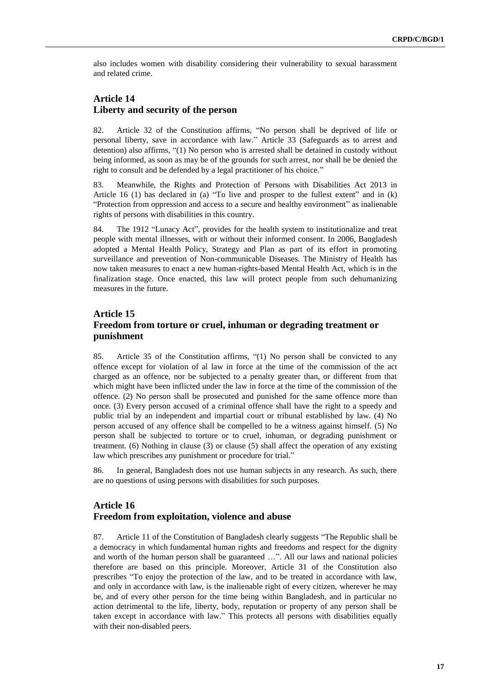also includes women with disability considering their vulnerability to sexual harassment and related crime.

#### **Article 14 Liberty and security of the person**

82. Article 32 of the Constitution affirms, "No person shall be deprived of life or personal liberty, save in accordance with law." Article 33 (Safeguards as to arrest and detention) also affirms, "(1) No person who is arrested shall be detained in custody without being informed, as soon as may be of the grounds for such arrest, nor shall he be denied the right to consult and be defended by a legal practitioner of his choice."

83. Meanwhile, the Rights and Protection of Persons with Disabilities Act 2013 in Article 16 (1) has declared in (a) "To live and prosper to the fullest extent" and in (k) "Protection from oppression and access to a secure and healthy environment" as inalienable rights of persons with disabilities in this country.

84. The 1912 "Lunacy Act", provides for the health system to institutionalize and treat people with mental illnesses, with or without their informed consent. In 2006, Bangladesh adopted a Mental Health Policy, Strategy and Plan as part of its effort in promoting surveillance and prevention of Non-communicable Diseases. The Ministry of Health has now taken measures to enact a new human-rights-based Mental Health Act, which is in the finalization stage. Once enacted, this law will protect people from such dehumanizing measures in the future.

#### **Article 15 Freedom from torture or cruel, inhuman or degrading treatment or punishment**

85. Article 35 of the Constitution affirms, "(1) No person shall be convicted to any offence except for violation of al law in force at the time of the commission of the act charged as an offence, nor be subjected to a penalty greater than, or different from that which might have been inflicted under the law in force at the time of the commission of the offence. (2) No person shall be prosecuted and punished for the same offence more than once. (3) Every person accused of a criminal offence shall have the right to a speedy and public trial by an independent and impartial court or tribunal established by law. (4) No person accused of any offence shall be compelled to be a witness against himself. (5) No person shall be subjected to torture or to cruel, inhuman, or degrading punishment or treatment. (6) Nothing in clause (3) or clause (5) shall affect the operation of any existing law which prescribes any punishment or procedure for trial."

86. In general, Bangladesh does not use human subjects in any research. As such, there are no questions of using persons with disabilities for such purposes.

#### **Article 16 Freedom from exploitation, violence and abuse**

87. Article 11 of the Constitution of Bangladesh clearly suggests "The Republic shall be a democracy in which fundamental human rights and freedoms and respect for the dignity and worth of the human person shall be guaranteed …". All our laws and national policies therefore are based on this principle. Moreover, Article 31 of the Constitution also prescribes "To enjoy the protection of the law, and to be treated in accordance with law, and only in accordance with law, is the inalienable right of every citizen, wherever he may be, and of every other person for the time being within Bangladesh, and in particular no action detrimental to the life, liberty, body, reputation or property of any person shall be taken except in accordance with law." This protects all persons with disabilities equally with their non-disabled peers.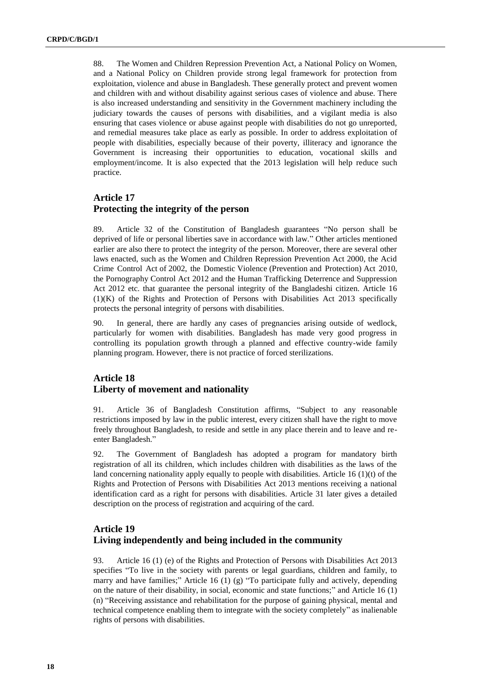88. The Women and Children Repression Prevention Act, a National Policy on Women, and a National Policy on Children provide strong legal framework for protection from exploitation, violence and abuse in Bangladesh. These generally protect and prevent women and children with and without disability against serious cases of violence and abuse. There is also increased understanding and sensitivity in the Government machinery including the judiciary towards the causes of persons with disabilities, and a vigilant media is also ensuring that cases violence or abuse against people with disabilities do not go unreported, and remedial measures take place as early as possible. In order to address exploitation of people with disabilities, especially because of their poverty, illiteracy and ignorance the Government is increasing their opportunities to education, vocational skills and employment/income. It is also expected that the 2013 legislation will help reduce such practice.

## **Article 17 Protecting the integrity of the person**

89. Article 32 of the Constitution of Bangladesh guarantees "No person shall be deprived of life or personal liberties save in accordance with law." Other articles mentioned earlier are also there to protect the integrity of the person. Moreover, there are several other laws enacted, such as the Women and Children Repression Prevention Act 2000, the Acid Crime Control Act of 2002, the Domestic Violence (Prevention and Protection) Act 2010, the Pornography Control Act 2012 and the Human Trafficking Deterrence and Suppression Act 2012 etc. that guarantee the personal integrity of the Bangladeshi citizen. Article 16  $(1)(K)$  of the Rights and Protection of Persons with Disabilities Act 2013 specifically protects the personal integrity of persons with disabilities.

90. In general, there are hardly any cases of pregnancies arising outside of wedlock, particularly for women with disabilities. Bangladesh has made very good progress in controlling its population growth through a planned and effective country-wide family planning program. However, there is not practice of forced sterilizations.

#### **Article 18 Liberty of movement and nationality**

91. Article 36 of Bangladesh Constitution affirms, "Subject to any reasonable restrictions imposed by law in the public interest, every citizen shall have the right to move freely throughout Bangladesh, to reside and settle in any place therein and to leave and reenter Bangladesh."

92. The Government of Bangladesh has adopted a program for mandatory birth registration of all its children, which includes children with disabilities as the laws of the land concerning nationality apply equally to people with disabilities. Article 16 (1)(t) of the Rights and Protection of Persons with Disabilities Act 2013 mentions receiving a national identification card as a right for persons with disabilities. Article 31 later gives a detailed description on the process of registration and acquiring of the card.

## **Article 19 Living independently and being included in the community**

93. Article 16 (1) (e) of the Rights and Protection of Persons with Disabilities Act 2013 specifies "To live in the society with parents or legal guardians, children and family, to marry and have families;" Article 16 (1) (g) "To participate fully and actively, depending on the nature of their disability, in social, economic and state functions;" and Article 16 (1) (n) "Receiving assistance and rehabilitation for the purpose of gaining physical, mental and technical competence enabling them to integrate with the society completely" as inalienable rights of persons with disabilities.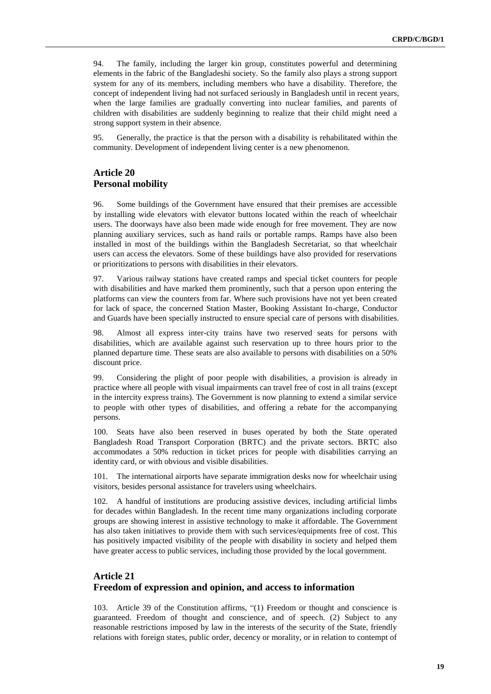94. The family, including the larger kin group, constitutes powerful and determining elements in the fabric of the Bangladeshi society. So the family also plays a strong support system for any of its members, including members who have a disability. Therefore, the concept of independent living had not surfaced seriously in Bangladesh until in recent years, when the large families are gradually converting into nuclear families, and parents of children with disabilities are suddenly beginning to realize that their child might need a strong support system in their absence.

95. Generally, the practice is that the person with a disability is rehabilitated within the community. Development of independent living center is a new phenomenon.

#### **Article 20 Personal mobility**

96. Some buildings of the Government have ensured that their premises are accessible by installing wide elevators with elevator buttons located within the reach of wheelchair users. The doorways have also been made wide enough for free movement. They are now planning auxiliary services, such as hand rails or portable ramps. Ramps have also been installed in most of the buildings within the Bangladesh Secretariat, so that wheelchair users can access the elevators. Some of these buildings have also provided for reservations or prioritizations to persons with disabilities in their elevators.

97. Various railway stations have created ramps and special ticket counters for people with disabilities and have marked them prominently, such that a person upon entering the platforms can view the counters from far. Where such provisions have not yet been created for lack of space, the concerned Station Master, Booking Assistant In-charge, Conductor and Guards have been specially instructed to ensure special care of persons with disabilities.

98. Almost all express inter-city trains have two reserved seats for persons with disabilities, which are available against such reservation up to three hours prior to the planned departure time. These seats are also available to persons with disabilities on a 50% discount price.

99. Considering the plight of poor people with disabilities, a provision is already in practice where all people with visual impairments can travel free of cost in all trains (except in the intercity express trains). The Government is now planning to extend a similar service to people with other types of disabilities, and offering a rebate for the accompanying persons.

100. Seats have also been reserved in buses operated by both the State operated Bangladesh Road Transport Corporation (BRTC) and the private sectors. BRTC also accommodates a 50% reduction in ticket prices for people with disabilities carrying an identity card, or with obvious and visible disabilities.

101. The international airports have separate immigration desks now for wheelchair using visitors, besides personal assistance for travelers using wheelchairs.

102. A handful of institutions are producing assistive devices, including artificial limbs for decades within Bangladesh. In the recent time many organizations including corporate groups are showing interest in assistive technology to make it affordable. The Government has also taken initiatives to provide them with such services/equipments free of cost. This has positively impacted visibility of the people with disability in society and helped them have greater access to public services, including those provided by the local government.

### **Article 21 Freedom of expression and opinion, and access to information**

103. Article 39 of the Constitution affirms, "(1) Freedom or thought and conscience is guaranteed. Freedom of thought and conscience, and of speech. (2) Subject to any reasonable restrictions imposed by law in the interests of the security of the State, friendly relations with foreign states, public order, decency or morality, or in relation to contempt of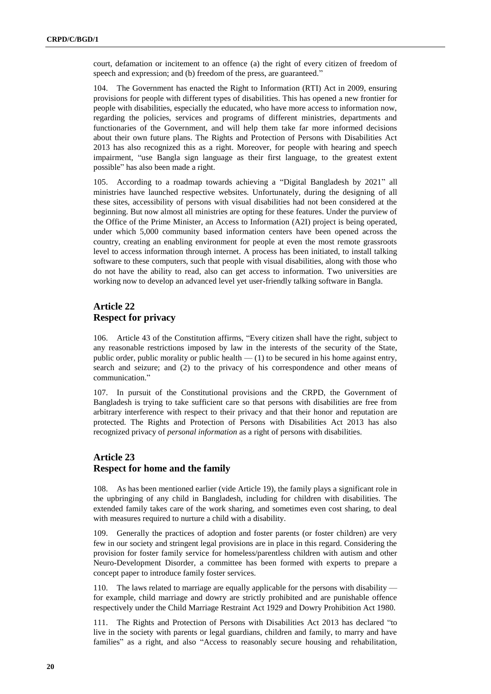court, defamation or incitement to an offence (a) the right of every citizen of freedom of speech and expression; and (b) freedom of the press, are guaranteed."

104. The Government has enacted the Right to Information (RTI) Act in 2009, ensuring provisions for people with different types of disabilities. This has opened a new frontier for people with disabilities, especially the educated, who have more access to information now, regarding the policies, services and programs of different ministries, departments and functionaries of the Government, and will help them take far more informed decisions about their own future plans. The Rights and Protection of Persons with Disabilities Act 2013 has also recognized this as a right. Moreover, for people with hearing and speech impairment, "use Bangla sign language as their first language, to the greatest extent possible" has also been made a right.

105. According to a roadmap towards achieving a "Digital Bangladesh by 2021" all ministries have launched respective websites. Unfortunately, during the designing of all these sites, accessibility of persons with visual disabilities had not been considered at the beginning. But now almost all ministries are opting for these features. Under the purview of the Office of the Prime Minister, an Access to Information (A2I) project is being operated, under which 5,000 community based information centers have been opened across the country, creating an enabling environment for people at even the most remote grassroots level to access information through internet. A process has been initiated, to install talking software to these computers, such that people with visual disabilities, along with those who do not have the ability to read, also can get access to information. Two universities are working now to develop an advanced level yet user-friendly talking software in Bangla.

#### **Article 22 Respect for privacy**

106. Article 43 of the Constitution affirms, "Every citizen shall have the right, subject to any reasonable restrictions imposed by law in the interests of the security of the State, public order, public morality or public health  $-$  (1) to be secured in his home against entry, search and seizure; and (2) to the privacy of his correspondence and other means of communication."

107. In pursuit of the Constitutional provisions and the CRPD, the Government of Bangladesh is trying to take sufficient care so that persons with disabilities are free from arbitrary interference with respect to their privacy and that their honor and reputation are protected. The Rights and Protection of Persons with Disabilities Act 2013 has also recognized privacy of *personal information* as a right of persons with disabilities.

#### **Article 23 Respect for home and the family**

108. As has been mentioned earlier (vide Article 19), the family plays a significant role in the upbringing of any child in Bangladesh, including for children with disabilities. The extended family takes care of the work sharing, and sometimes even cost sharing, to deal with measures required to nurture a child with a disability.

109. Generally the practices of adoption and foster parents (or foster children) are very few in our society and stringent legal provisions are in place in this regard. Considering the provision for foster family service for homeless/parentless children with autism and other Neuro-Development Disorder, a committee has been formed with experts to prepare a concept paper to introduce family foster services.

110. The laws related to marriage are equally applicable for the persons with disability for example, child marriage and dowry are strictly prohibited and are punishable offence respectively under the Child Marriage Restraint Act 1929 and Dowry Prohibition Act 1980.

111. The Rights and Protection of Persons with Disabilities Act 2013 has declared "to live in the society with parents or legal guardians, children and family, to marry and have families" as a right, and also "Access to reasonably secure housing and rehabilitation,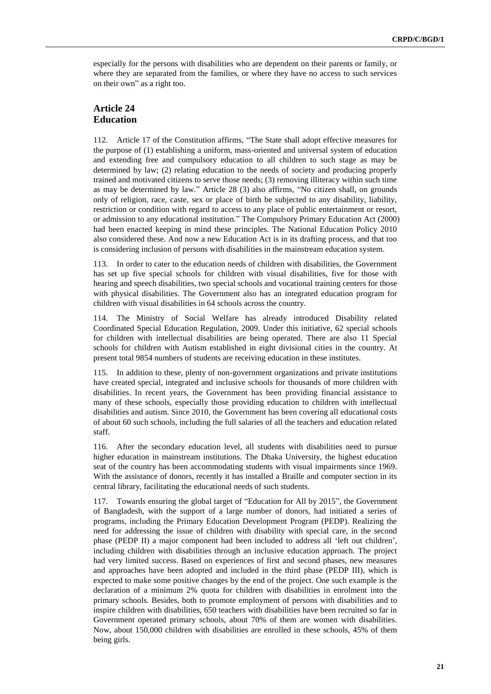especially for the persons with disabilities who are dependent on their parents or family, or where they are separated from the families, or where they have no access to such services on their own" as a right too.

#### **Article 24 Education**

112. Article 17 of the Constitution affirms, "The State shall adopt effective measures for the purpose of (1) establishing a uniform, mass-oriented and universal system of education and extending free and compulsory education to all children to such stage as may be determined by law; (2) relating education to the needs of society and producing properly trained and motivated citizens to serve those needs; (3) removing illiteracy within such time as may be determined by law." Article 28 (3) also affirms, "No citizen shall, on grounds only of religion, race, caste, sex or place of birth be subjected to any disability, liability, restriction or condition with regard to access to any place of public entertainment or resort, or admission to any educational institution." The Compulsory Primary Education Act (2000) had been enacted keeping in mind these principles. The National Education Policy 2010 also considered these. And now a new Education Act is in its drafting process, and that too is considering inclusion of persons with disabilities in the mainstream education system.

113. In order to cater to the education needs of children with disabilities, the Government has set up five special schools for children with visual disabilities, five for those with hearing and speech disabilities, two special schools and vocational training centers for those with physical disabilities. The Government also has an integrated education program for children with visual disabilities in 64 schools across the country.

114. The Ministry of Social Welfare has already introduced Disability related Coordinated Special Education Regulation, 2009. Under this initiative, 62 special schools for children with intellectual disabilities are being operated. There are also 11 Special schools for children with Autism established in eight divisional cities in the country. At present total 9854 numbers of students are receiving education in these institutes.

115. In addition to these, plenty of non-government organizations and private institutions have created special, integrated and inclusive schools for thousands of more children with disabilities. In recent years, the Government has been providing financial assistance to many of these schools, especially those providing education to children with intellectual disabilities and autism. Since 2010, the Government has been covering all educational costs of about 60 such schools, including the full salaries of all the teachers and education related staff.

116. After the secondary education level, all students with disabilities need to pursue higher education in mainstream institutions. The Dhaka University, the highest education seat of the country has been accommodating students with visual impairments since 1969. With the assistance of donors, recently it has installed a Braille and computer section in its central library, facilitating the educational needs of such students.

117. Towards ensuring the global target of "Education for All by 2015", the Government of Bangladesh, with the support of a large number of donors, had initiated a series of programs, including the Primary Education Development Program (PEDP). Realizing the need for addressing the issue of children with disability with special care, in the second phase (PEDP II) a major component had been included to address all 'left out children', including children with disabilities through an inclusive education approach. The project had very limited success. Based on experiences of first and second phases, new measures and approaches have been adopted and included in the third phase (PEDP III), which is expected to make some positive changes by the end of the project. One such example is the declaration of a minimum 2% quota for children with disabilities in enrolment into the primary schools. Besides, both to promote employment of persons with disabilities and to inspire children with disabilities, 650 teachers with disabilities have been recruited so far in Government operated primary schools, about 70% of them are women with disabilities. Now, about 150,000 children with disabilities are enrolled in these schools, 45% of them being girls.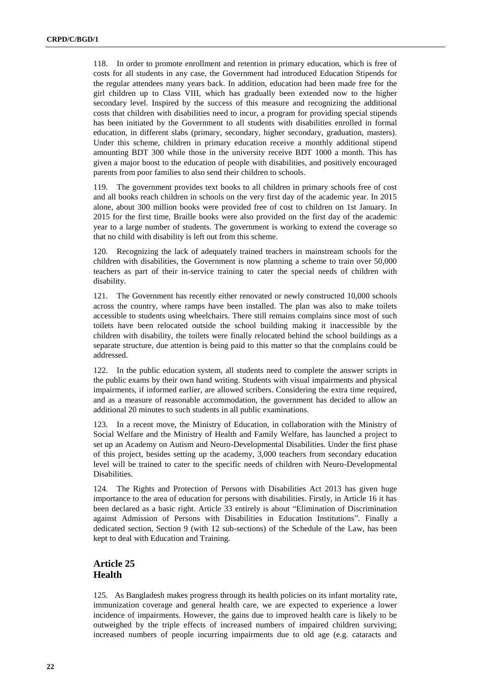118. In order to promote enrollment and retention in primary education, which is free of costs for all students in any case, the Government had introduced Education Stipends for the regular attendees many years back. In addition, education had been made free for the girl children up to Class VIII, which has gradually been extended now to the higher secondary level. Inspired by the success of this measure and recognizing the additional costs that children with disabilities need to incur, a program for providing special stipends has been initiated by the Government to all students with disabilities enrolled in formal education, in different slabs (primary, secondary, higher secondary, graduation, masters). Under this scheme, children in primary education receive a monthly additional stipend amounting BDT 300 while those in the university receive BDT 1000 a month. This has given a major boost to the education of people with disabilities, and positively encouraged parents from poor families to also send their children to schools.

119. The government provides text books to all children in primary schools free of cost and all books reach children in schools on the very first day of the academic year. In 2015 alone, about 300 million books were provided free of cost to children on 1st January. In 2015 for the first time, Braille books were also provided on the first day of the academic year to a large number of students. The government is working to extend the coverage so that no child with disability is left out from this scheme.

120. Recognizing the lack of adequately trained teachers in mainstream schools for the children with disabilities, the Government is now planning a scheme to train over 50,000 teachers as part of their in-service training to cater the special needs of children with disability.

121. The Government has recently either renovated or newly constructed 10,000 schools across the country, where ramps have been installed. The plan was also to make toilets accessible to students using wheelchairs. There still remains complains since most of such toilets have been relocated outside the school building making it inaccessible by the children with disability, the toilets were finally relocated behind the school buildings as a separate structure, due attention is being paid to this matter so that the complains could be addressed.

In the public education system, all students need to complete the answer scripts in the public exams by their own hand writing. Students with visual impairments and physical impairments, if informed earlier, are allowed scribers. Considering the extra time required, and as a measure of reasonable accommodation, the government has decided to allow an additional 20 minutes to such students in all public examinations.

123. In a recent move, the Ministry of Education, in collaboration with the Ministry of Social Welfare and the Ministry of Health and Family Welfare, has launched a project to set up an Academy on Autism and Neuro-Developmental Disabilities. Under the first phase of this project, besides setting up the academy, 3,000 teachers from secondary education level will be trained to cater to the specific needs of children with Neuro-Developmental Disabilities.

124. The Rights and Protection of Persons with Disabilities Act 2013 has given huge importance to the area of education for persons with disabilities. Firstly, in Article 16 it has been declared as a basic right. Article 33 entirely is about "Elimination of Discrimination against Admission of Persons with Disabilities in Education Institutions". Finally a dedicated section, Section 9 (with 12 sub-sections) of the Schedule of the Law, has been kept to deal with Education and Training.

#### **Article 25 Health**

125. As Bangladesh makes progress through its health policies on its infant mortality rate, immunization coverage and general health care, we are expected to experience a lower incidence of impairments. However, the gains due to improved health care is likely to be outweighed by the triple effects of increased numbers of impaired children surviving; increased numbers of people incurring impairments due to old age (e.g. cataracts and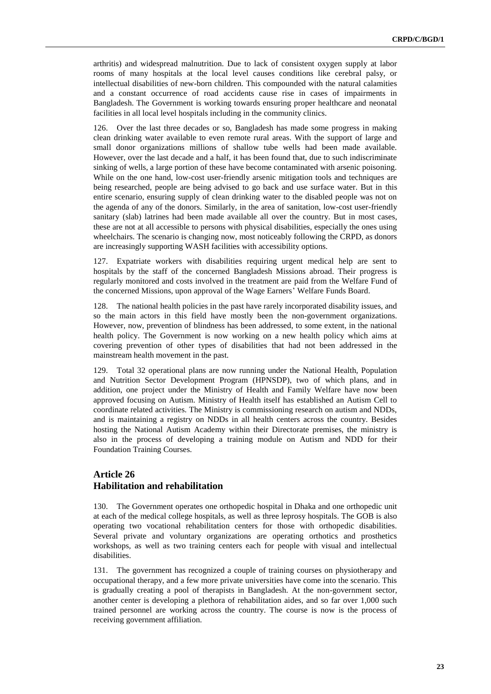arthritis) and widespread malnutrition. Due to lack of consistent oxygen supply at labor rooms of many hospitals at the local level causes conditions like cerebral palsy, or intellectual disabilities of new-born children. This compounded with the natural calamities and a constant occurrence of road accidents cause rise in cases of impairments in Bangladesh. The Government is working towards ensuring proper healthcare and neonatal facilities in all local level hospitals including in the community clinics.

126. Over the last three decades or so, Bangladesh has made some progress in making clean drinking water available to even remote rural areas. With the support of large and small donor organizations millions of shallow tube wells had been made available. However, over the last decade and a half, it has been found that, due to such indiscriminate sinking of wells, a large portion of these have become contaminated with arsenic poisoning. While on the one hand, low-cost user-friendly arsenic mitigation tools and techniques are being researched, people are being advised to go back and use surface water. But in this entire scenario, ensuring supply of clean drinking water to the disabled people was not on the agenda of any of the donors. Similarly, in the area of sanitation, low-cost user-friendly sanitary (slab) latrines had been made available all over the country. But in most cases, these are not at all accessible to persons with physical disabilities, especially the ones using wheelchairs. The scenario is changing now, most noticeably following the CRPD, as donors are increasingly supporting WASH facilities with accessibility options.

127. Expatriate workers with disabilities requiring urgent medical help are sent to hospitals by the staff of the concerned Bangladesh Missions abroad. Their progress is regularly monitored and costs involved in the treatment are paid from the Welfare Fund of the concerned Missions, upon approval of the Wage Earners' Welfare Funds Board.

128. The national health policies in the past have rarely incorporated disability issues, and so the main actors in this field have mostly been the non-government organizations. However, now, prevention of blindness has been addressed, to some extent, in the national health policy. The Government is now working on a new health policy which aims at covering prevention of other types of disabilities that had not been addressed in the mainstream health movement in the past.

129. Total 32 operational plans are now running under the National Health, Population and Nutrition Sector Development Program (HPNSDP), two of which plans, and in addition, one project under the Ministry of Health and Family Welfare have now been approved focusing on Autism. Ministry of Health itself has established an Autism Cell to coordinate related activities. The Ministry is commissioning research on autism and NDDs, and is maintaining a registry on NDDs in all health centers across the country. Besides hosting the National Autism Academy within their Directorate premises, the ministry is also in the process of developing a training module on Autism and NDD for their Foundation Training Courses.

## **Article 26 Habilitation and rehabilitation**

130. The Government operates one orthopedic hospital in Dhaka and one orthopedic unit at each of the medical college hospitals, as well as three leprosy hospitals. The GOB is also operating two vocational rehabilitation centers for those with orthopedic disabilities. Several private and voluntary organizations are operating orthotics and prosthetics workshops, as well as two training centers each for people with visual and intellectual disabilities.

131. The government has recognized a couple of training courses on physiotherapy and occupational therapy, and a few more private universities have come into the scenario. This is gradually creating a pool of therapists in Bangladesh. At the non-government sector, another center is developing a plethora of rehabilitation aides, and so far over 1,000 such trained personnel are working across the country. The course is now is the process of receiving government affiliation.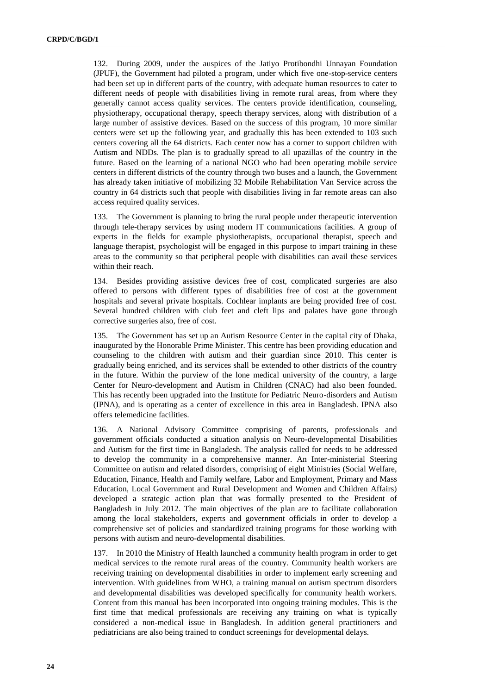132. During 2009, under the auspices of the Jatiyo Protibondhi Unnayan Foundation (JPUF), the Government had piloted a program, under which five one-stop-service centers had been set up in different parts of the country, with adequate human resources to cater to different needs of people with disabilities living in remote rural areas, from where they generally cannot access quality services. The centers provide identification, counseling, physiotherapy, occupational therapy, speech therapy services, along with distribution of a large number of assistive devices. Based on the success of this program, 10 more similar centers were set up the following year, and gradually this has been extended to 103 such centers covering all the 64 districts. Each center now has a corner to support children with Autism and NDDs. The plan is to gradually spread to all upazillas of the country in the future. Based on the learning of a national NGO who had been operating mobile service centers in different districts of the country through two buses and a launch, the Government has already taken initiative of mobilizing 32 Mobile Rehabilitation Van Service across the country in 64 districts such that people with disabilities living in far remote areas can also access required quality services.

133. The Government is planning to bring the rural people under therapeutic intervention through tele-therapy services by using modern IT communications facilities. A group of experts in the fields for example physiotherapists, occupational therapist, speech and language therapist, psychologist will be engaged in this purpose to impart training in these areas to the community so that peripheral people with disabilities can avail these services within their reach.

134. Besides providing assistive devices free of cost, complicated surgeries are also offered to persons with different types of disabilities free of cost at the government hospitals and several private hospitals. Cochlear implants are being provided free of cost. Several hundred children with club feet and cleft lips and palates have gone through corrective surgeries also, free of cost.

The Government has set up an Autism Resource Center in the capital city of Dhaka, inaugurated by the Honorable Prime Minister. This centre has been providing education and counseling to the children with autism and their guardian since 2010. This center is gradually being enriched, and its services shall be extended to other districts of the country in the future. Within the purview of the lone medical university of the country, a large Center for Neuro-development and Autism in Children (CNAC) had also been founded. This has recently been upgraded into the Institute for Pediatric Neuro-disorders and Autism (IPNA), and is operating as a center of excellence in this area in Bangladesh. IPNA also offers telemedicine facilities.

136. A National Advisory Committee comprising of parents, professionals and government officials conducted a situation analysis on Neuro-developmental Disabilities and Autism for the first time in Bangladesh. The analysis called for needs to be addressed to develop the community in a comprehensive manner. An Inter-ministerial Steering Committee on autism and related disorders, comprising of eight Ministries (Social Welfare, Education, Finance, Health and Family welfare, Labor and Employment, Primary and Mass Education, Local Government and Rural Development and Women and Children Affairs) developed a strategic action plan that was formally presented to the President of Bangladesh in July 2012. The main objectives of the plan are to facilitate collaboration among the local stakeholders, experts and government officials in order to develop a comprehensive set of policies and standardized training programs for those working with persons with autism and neuro-developmental disabilities.

137. In 2010 the Ministry of Health launched a community health program in order to get medical services to the remote rural areas of the country. Community health workers are receiving training on developmental disabilities in order to implement early screening and intervention. With guidelines from WHO, a training manual on autism spectrum disorders and developmental disabilities was developed specifically for community health workers. Content from this manual has been incorporated into ongoing training modules. This is the first time that medical professionals are receiving any training on what is typically considered a non-medical issue in Bangladesh. In addition general practitioners and pediatricians are also being trained to conduct screenings for developmental delays.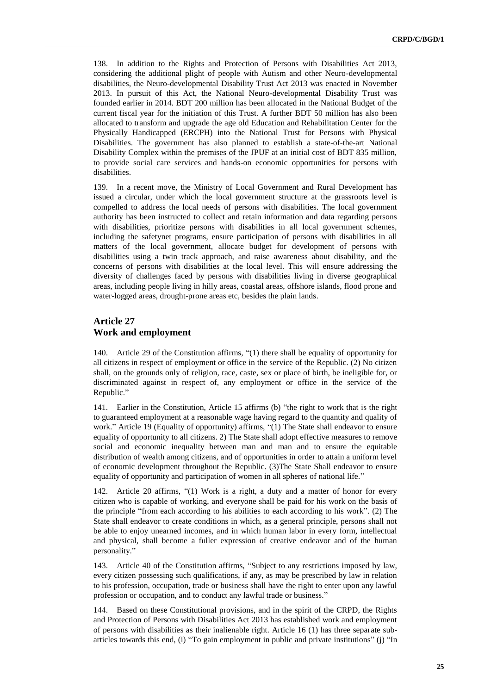138. In addition to the Rights and Protection of Persons with Disabilities Act 2013, considering the additional plight of people with Autism and other Neuro-developmental disabilities, the Neuro-developmental Disability Trust Act 2013 was enacted in November 2013. In pursuit of this Act, the National Neuro-developmental Disability Trust was founded earlier in 2014. BDT 200 million has been allocated in the National Budget of the current fiscal year for the initiation of this Trust. A further BDT 50 million has also been allocated to transform and upgrade the age old Education and Rehabilitation Center for the Physically Handicapped (ERCPH) into the National Trust for Persons with Physical Disabilities. The government has also planned to establish a state-of-the-art National Disability Complex within the premises of the JPUF at an initial cost of BDT 835 million, to provide social care services and hands-on economic opportunities for persons with disabilities.

139. In a recent move, the Ministry of Local Government and Rural Development has issued a circular, under which the local government structure at the grassroots level is compelled to address the local needs of persons with disabilities. The local government authority has been instructed to collect and retain information and data regarding persons with disabilities, prioritize persons with disabilities in all local government schemes, including the safetynet programs, ensure participation of persons with disabilities in all matters of the local government, allocate budget for development of persons with disabilities using a twin track approach, and raise awareness about disability, and the concerns of persons with disabilities at the local level. This will ensure addressing the diversity of challenges faced by persons with disabilities living in diverse geographical areas, including people living in hilly areas, coastal areas, offshore islands, flood prone and water-logged areas, drought-prone areas etc, besides the plain lands.

#### **Article 27 Work and employment**

140. Article 29 of the Constitution affirms, "(1) there shall be equality of opportunity for all citizens in respect of employment or office in the service of the Republic. (2) No citizen shall, on the grounds only of religion, race, caste, sex or place of birth, be ineligible for, or discriminated against in respect of, any employment or office in the service of the Republic."

141. Earlier in the Constitution, Article 15 affirms (b) "the right to work that is the right to guaranteed employment at a reasonable wage having regard to the quantity and quality of work." Article 19 (Equality of opportunity) affirms, "(1) The State shall endeavor to ensure equality of opportunity to all citizens. 2) The State shall adopt effective measures to remove social and economic inequality between man and man and to ensure the equitable distribution of wealth among citizens, and of opportunities in order to attain a uniform level of economic development throughout the Republic. (3)The State Shall endeavor to ensure equality of opportunity and participation of women in all spheres of national life."

142. Article 20 affirms, "(1) Work is a right, a duty and a matter of honor for every citizen who is capable of working, and everyone shall be paid for his work on the basis of the principle "from each according to his abilities to each according to his work". (2) The State shall endeavor to create conditions in which, as a general principle, persons shall not be able to enjoy unearned incomes, and in which human labor in every form, intellectual and physical, shall become a fuller expression of creative endeavor and of the human personality."

143. Article 40 of the Constitution affirms, "Subject to any restrictions imposed by law, every citizen possessing such qualifications, if any, as may be prescribed by law in relation to his profession, occupation, trade or business shall have the right to enter upon any lawful profession or occupation, and to conduct any lawful trade or business."

144. Based on these Constitutional provisions, and in the spirit of the CRPD, the Rights and Protection of Persons with Disabilities Act 2013 has established work and employment of persons with disabilities as their inalienable right. Article 16 (1) has three separate subarticles towards this end, (i) "To gain employment in public and private institutions" (j) "In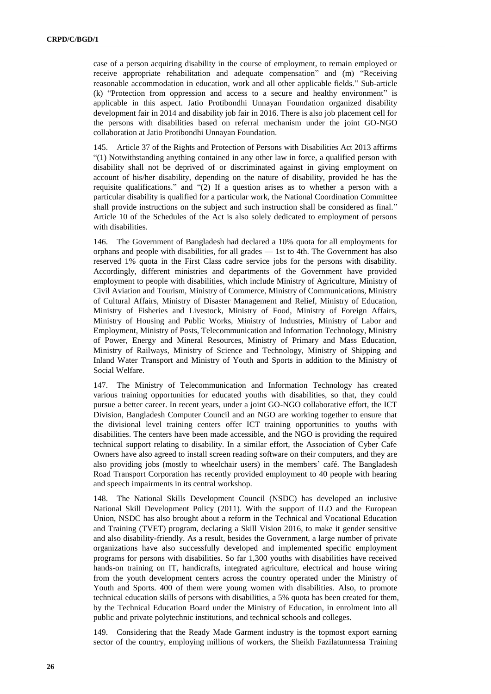case of a person acquiring disability in the course of employment, to remain employed or receive appropriate rehabilitation and adequate compensation" and (m) "Receiving reasonable accommodation in education, work and all other applicable fields." Sub-article (k) "Protection from oppression and access to a secure and healthy environment" is applicable in this aspect. Jatio Protibondhi Unnayan Foundation organized disability development fair in 2014 and disability job fair in 2016. There is also job placement cell for the persons with disabilities based on referral mechanism under the joint GO-NGO collaboration at Jatio Protibondhi Unnayan Foundation.

Article 37 of the Rights and Protection of Persons with Disabilities Act 2013 affirms "(1) Notwithstanding anything contained in any other law in force, a qualified person with disability shall not be deprived of or discriminated against in giving employment on account of his/her disability, depending on the nature of disability, provided he has the requisite qualifications." and "(2) If a question arises as to whether a person with a particular disability is qualified for a particular work, the National Coordination Committee shall provide instructions on the subject and such instruction shall be considered as final." Article 10 of the Schedules of the Act is also solely dedicated to employment of persons with disabilities.

146. The Government of Bangladesh had declared a 10% quota for all employments for orphans and people with disabilities, for all grades — 1st to 4th. The Government has also reserved 1% quota in the First Class cadre service jobs for the persons with disability. Accordingly, different ministries and departments of the Government have provided employment to people with disabilities, which include Ministry of Agriculture, Ministry of Civil Aviation and Tourism, Ministry of Commerce, Ministry of Communications, Ministry of Cultural Affairs, Ministry of Disaster Management and Relief, Ministry of Education, Ministry of Fisheries and Livestock, Ministry of Food, Ministry of Foreign Affairs, Ministry of Housing and Public Works, Ministry of Industries, Ministry of Labor and Employment, Ministry of Posts, Telecommunication and Information Technology, Ministry of Power, Energy and Mineral Resources, Ministry of Primary and Mass Education, Ministry of Railways, Ministry of Science and Technology, Ministry of Shipping and Inland Water Transport and Ministry of Youth and Sports in addition to the Ministry of Social Welfare.

147. The Ministry of Telecommunication and Information Technology has created various training opportunities for educated youths with disabilities, so that, they could pursue a better career. In recent years, under a joint GO-NGO collaborative effort, the ICT Division, Bangladesh Computer Council and an NGO are working together to ensure that the divisional level training centers offer ICT training opportunities to youths with disabilities. The centers have been made accessible, and the NGO is providing the required technical support relating to disability. In a similar effort, the Association of Cyber Cafe Owners have also agreed to install screen reading software on their computers, and they are also providing jobs (mostly to wheelchair users) in the members' café. The Bangladesh Road Transport Corporation has recently provided employment to 40 people with hearing and speech impairments in its central workshop.

148. The National Skills Development Council (NSDC) has developed an inclusive National Skill Development Policy (2011). With the support of ILO and the European Union, NSDC has also brought about a reform in the Technical and Vocational Education and Training (TVET) program, declaring a Skill Vision 2016, to make it gender sensitive and also disability-friendly. As a result, besides the Government, a large number of private organizations have also successfully developed and implemented specific employment programs for persons with disabilities. So far 1,300 youths with disabilities have received hands-on training on IT, handicrafts, integrated agriculture, electrical and house wiring from the youth development centers across the country operated under the Ministry of Youth and Sports. 400 of them were young women with disabilities. Also, to promote technical education skills of persons with disabilities, a 5% quota has been created for them, by the Technical Education Board under the Ministry of Education, in enrolment into all public and private polytechnic institutions, and technical schools and colleges.

149. Considering that the Ready Made Garment industry is the topmost export earning sector of the country, employing millions of workers, the Sheikh Fazilatunnessa Training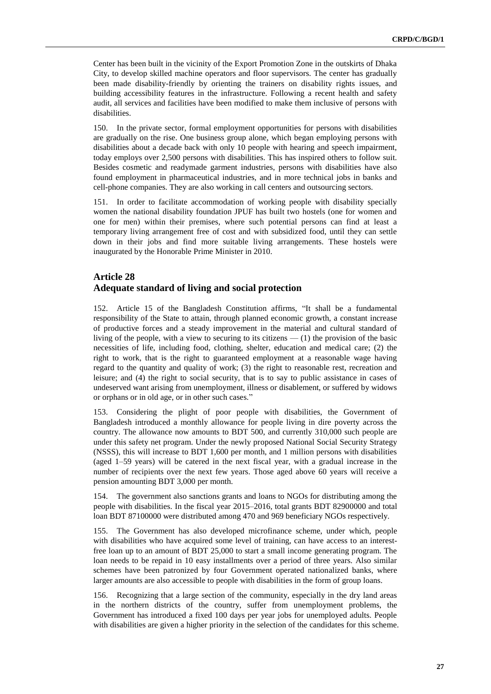Center has been built in the vicinity of the Export Promotion Zone in the outskirts of Dhaka City, to develop skilled machine operators and floor supervisors. The center has gradually been made disability-friendly by orienting the trainers on disability rights issues, and building accessibility features in the infrastructure. Following a recent health and safety audit, all services and facilities have been modified to make them inclusive of persons with disabilities.

150. In the private sector, formal employment opportunities for persons with disabilities are gradually on the rise. One business group alone, which began employing persons with disabilities about a decade back with only 10 people with hearing and speech impairment, today employs over 2,500 persons with disabilities. This has inspired others to follow suit. Besides cosmetic and readymade garment industries, persons with disabilities have also found employment in pharmaceutical industries, and in more technical jobs in banks and cell-phone companies. They are also working in call centers and outsourcing sectors.

151. In order to facilitate accommodation of working people with disability specially women the national disability foundation JPUF has built two hostels (one for women and one for men) within their premises, where such potential persons can find at least a temporary living arrangement free of cost and with subsidized food, until they can settle down in their jobs and find more suitable living arrangements. These hostels were inaugurated by the Honorable Prime Minister in 2010.

#### **Article 28**

#### **Adequate standard of living and social protection**

152. Article 15 of the Bangladesh Constitution affirms, "It shall be a fundamental responsibility of the State to attain, through planned economic growth, a constant increase of productive forces and a steady improvement in the material and cultural standard of living of the people, with a view to securing to its citizens — (1) the provision of the basic necessities of life, including food, clothing, shelter, education and medical care; (2) the right to work, that is the right to guaranteed employment at a reasonable wage having regard to the quantity and quality of work; (3) the right to reasonable rest, recreation and leisure; and (4) the right to social security, that is to say to public assistance in cases of undeserved want arising from unemployment, illness or disablement, or suffered by widows or orphans or in old age, or in other such cases."

153. Considering the plight of poor people with disabilities, the Government of Bangladesh introduced a monthly allowance for people living in dire poverty across the country. The allowance now amounts to BDT 500, and currently 310,000 such people are under this safety net program. Under the newly proposed National Social Security Strategy (NSSS), this will increase to BDT 1,600 per month, and 1 million persons with disabilities (aged 1–59 years) will be catered in the next fiscal year, with a gradual increase in the number of recipients over the next few years. Those aged above 60 years will receive a pension amounting BDT 3,000 per month.

154. The government also sanctions grants and loans to NGOs for distributing among the people with disabilities. In the fiscal year 2015–2016, total grants BDT 82900000 and total loan BDT 87100000 were distributed among 470 and 969 beneficiary NGOs respectively.

155. The Government has also developed microfinance scheme, under which, people with disabilities who have acquired some level of training, can have access to an interestfree loan up to an amount of BDT 25,000 to start a small income generating program. The loan needs to be repaid in 10 easy installments over a period of three years. Also similar schemes have been patronized by four Government operated nationalized banks, where larger amounts are also accessible to people with disabilities in the form of group loans.

156. Recognizing that a large section of the community, especially in the dry land areas in the northern districts of the country, suffer from unemployment problems, the Government has introduced a fixed 100 days per year jobs for unemployed adults. People with disabilities are given a higher priority in the selection of the candidates for this scheme.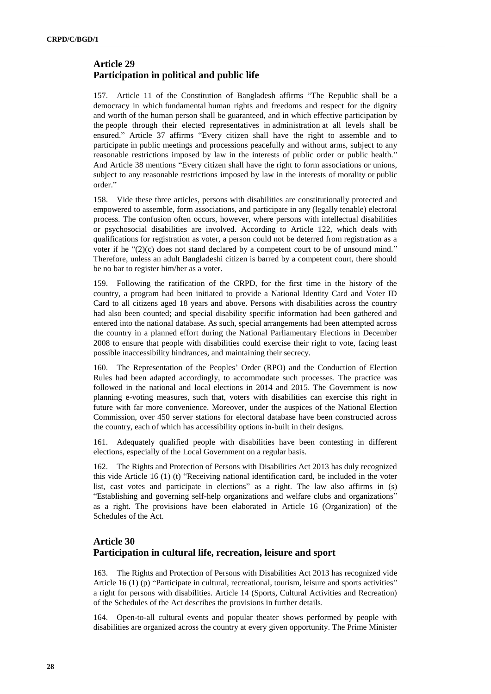## **Article 29 Participation in political and public life**

157. Article 11 of the Constitution of Bangladesh affirms "The Republic shall be a democracy in which fundamental human rights and freedoms and respect for the dignity and worth of the human person shall be guaranteed, and in which effective participation by the people through their elected representatives in administration at all levels shall be ensured." Article 37 affirms "Every citizen shall have the right to assemble and to participate in public meetings and processions peacefully and without arms, subject to any reasonable restrictions imposed by law in the interests of public order or public health." And Article 38 mentions "Every citizen shall have the right to form associations or unions, subject to any reasonable restrictions imposed by law in the interests of morality or public order."

158. Vide these three articles, persons with disabilities are constitutionally protected and empowered to assemble, form associations, and participate in any (legally tenable) electoral process. The confusion often occurs, however, where persons with intellectual disabilities or psychosocial disabilities are involved. According to Article 122, which deals with qualifications for registration as voter, a person could not be deterred from registration as a voter if he "(2)(c) does not stand declared by a competent court to be of unsound mind." Therefore, unless an adult Bangladeshi citizen is barred by a competent court, there should be no bar to register him/her as a voter.

159. Following the ratification of the CRPD, for the first time in the history of the country, a program had been initiated to provide a National Identity Card and Voter ID Card to all citizens aged 18 years and above. Persons with disabilities across the country had also been counted; and special disability specific information had been gathered and entered into the national database. As such, special arrangements had been attempted across the country in a planned effort during the National Parliamentary Elections in December 2008 to ensure that people with disabilities could exercise their right to vote, facing least possible inaccessibility hindrances, and maintaining their secrecy.

160. The Representation of the Peoples' Order (RPO) and the Conduction of Election Rules had been adapted accordingly, to accommodate such processes. The practice was followed in the national and local elections in 2014 and 2015. The Government is now planning e-voting measures, such that, voters with disabilities can exercise this right in future with far more convenience. Moreover, under the auspices of the National Election Commission, over 450 server stations for electoral database have been constructed across the country, each of which has accessibility options in-built in their designs.

161. Adequately qualified people with disabilities have been contesting in different elections, especially of the Local Government on a regular basis.

162. The Rights and Protection of Persons with Disabilities Act 2013 has duly recognized this vide Article 16 (1) (t) "Receiving national identification card, be included in the voter list, cast votes and participate in elections" as a right. The law also affirms in (s) "Establishing and governing self-help organizations and welfare clubs and organizations" as a right. The provisions have been elaborated in Article 16 (Organization) of the Schedules of the Act.

## **Article 30 Participation in cultural life, recreation, leisure and sport**

163. The Rights and Protection of Persons with Disabilities Act 2013 has recognized vide Article 16 (1) (p) "Participate in cultural, recreational, tourism, leisure and sports activities" a right for persons with disabilities. Article 14 (Sports, Cultural Activities and Recreation) of the Schedules of the Act describes the provisions in further details.

164. Open-to-all cultural events and popular theater shows performed by people with disabilities are organized across the country at every given opportunity. The Prime Minister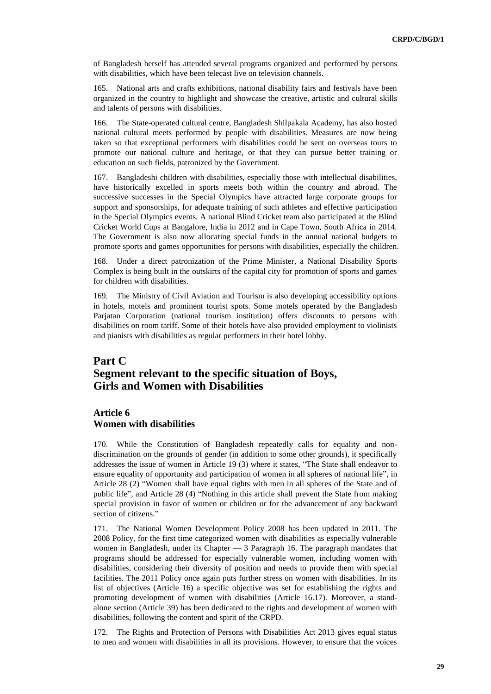of Bangladesh herself has attended several programs organized and performed by persons with disabilities, which have been telecast live on television channels.

165. National arts and crafts exhibitions, national disability fairs and festivals have been organized in the country to highlight and showcase the creative, artistic and cultural skills and talents of persons with disabilities.

166. The State-operated cultural centre, Bangladesh Shilpakala Academy, has also hosted national cultural meets performed by people with disabilities. Measures are now being taken so that exceptional performers with disabilities could be sent on overseas tours to promote our national culture and heritage, or that they can pursue better training or education on such fields, patronized by the Government.

167. Bangladeshi children with disabilities, especially those with intellectual disabilities, have historically excelled in sports meets both within the country and abroad. The successive successes in the Special Olympics have attracted large corporate groups for support and sponsorships, for adequate training of such athletes and effective participation in the Special Olympics events. A national Blind Cricket team also participated at the Blind Cricket World Cups at Bangalore, India in 2012 and in Cape Town, South Africa in 2014. The Government is also now allocating special funds in the annual national budgets to promote sports and games opportunities for persons with disabilities, especially the children.

168. Under a direct patronization of the Prime Minister, a National Disability Sports Complex is being built in the outskirts of the capital city for promotion of sports and games for children with disabilities.

169. The Ministry of Civil Aviation and Tourism is also developing accessibility options in hotels, motels and prominent tourist spots. Some motels operated by the Bangladesh Parjatan Corporation (national tourism institution) offers discounts to persons with disabilities on room tariff. Some of their hotels have also provided employment to violinists and pianists with disabilities as regular performers in their hotel lobby.

# **Part C Segment relevant to the specific situation of Boys, Girls and Women with Disabilities**

#### **Article 6 Women with disabilities**

170. While the Constitution of Bangladesh repeatedly calls for equality and nondiscrimination on the grounds of gender (in addition to some other grounds), it specifically addresses the issue of women in Article 19 (3) where it states, "The State shall endeavor to ensure equality of opportunity and participation of women in all spheres of national life", in Article 28 (2) "Women shall have equal rights with men in all spheres of the State and of public life", and Article 28 (4) "Nothing in this article shall prevent the State from making special provision in favor of women or children or for the advancement of any backward section of citizens."

171. The National Women Development Policy 2008 has been updated in 2011. The 2008 Policy, for the first time categorized women with disabilities as especially vulnerable women in Bangladesh, under its Chapter — 3 Paragraph 16. The paragraph mandates that programs should be addressed for especially vulnerable women, including women with disabilities, considering their diversity of position and needs to provide them with special facilities. The 2011 Policy once again puts further stress on women with disabilities. In its list of objectives (Article 16) a specific objective was set for establishing the rights and promoting development of women with disabilities (Article 16.17). Moreover, a standalone section (Article 39) has been dedicated to the rights and development of women with disabilities, following the content and spirit of the CRPD.

172. The Rights and Protection of Persons with Disabilities Act 2013 gives equal status to men and women with disabilities in all its provisions. However, to ensure that the voices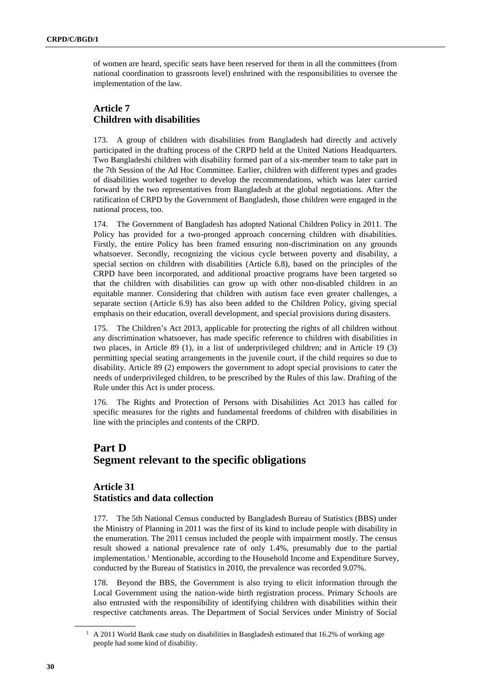of women are heard, specific seats have been reserved for them in all the committees (from national coordination to grassroots level) enshrined with the responsibilities to oversee the implementation of the law.

## **Article 7 Children with disabilities**

173. A group of children with disabilities from Bangladesh had directly and actively participated in the drafting process of the CRPD held at the United Nations Headquarters. Two Bangladeshi children with disability formed part of a six-member team to take part in the 7th Session of the Ad Hoc Committee. Earlier, children with different types and grades of disabilities worked together to develop the recommendations, which was later carried forward by the two representatives from Bangladesh at the global negotiations. After the ratification of CRPD by the Government of Bangladesh, those children were engaged in the national process, too.

174. The Government of Bangladesh has adopted National Children Policy in 2011. The Policy has provided for a two-pronged approach concerning children with disabilities. Firstly, the entire Policy has been framed ensuring non-discrimination on any grounds whatsoever. Secondly, recognizing the vicious cycle between poverty and disability, a special section on children with disabilities (Article 6.8), based on the principles of the CRPD have been incorporated, and additional proactive programs have been targeted so that the children with disabilities can grow up with other non-disabled children in an equitable manner. Considering that children with autism face even greater challenges, a separate section (Article 6.9) has also been added to the Children Policy, giving special emphasis on their education, overall development, and special provisions during disasters.

175. The Children's Act 2013, applicable for protecting the rights of all children without any discrimination whatsoever, has made specific reference to children with disabilities in two places, in Article 89 (1), in a list of underprivileged children; and in Article 19 (3) permitting special seating arrangements in the juvenile court, if the child requires so due to disability. Article 89 (2) empowers the government to adopt special provisions to cater the needs of underprivileged children, to be prescribed by the Rules of this law. Drafting of the Rule under this Act is under process.

176. The Rights and Protection of Persons with Disabilities Act 2013 has called for specific measures for the rights and fundamental freedoms of children with disabilities in line with the principles and contents of the CRPD.

# **Part D Segment relevant to the specific obligations**

### **Article 31 Statistics and data collection**

177. The 5th National Census conducted by Bangladesh Bureau of Statistics (BBS) under the Ministry of Planning in 2011 was the first of its kind to include people with disability in the enumeration. The 2011 census included the people with impairment mostly. The census result showed a national prevalence rate of only 1.4%, presumably due to the partial implementation. <sup>1</sup> Mentionable, according to the Household Income and Expenditure Survey, conducted by the Bureau of Statistics in 2010, the prevalence was recorded 9.07%.

178. Beyond the BBS, the Government is also trying to elicit information through the Local Government using the nation-wide birth registration process. Primary Schools are also entrusted with the responsibility of identifying children with disabilities within their respective catchments areas. The Department of Social Services under Ministry of Social

<sup>&</sup>lt;sup>1</sup> A 2011 World Bank case study on disabilities in Bangladesh estimated that 16.2% of working age people had some kind of disability.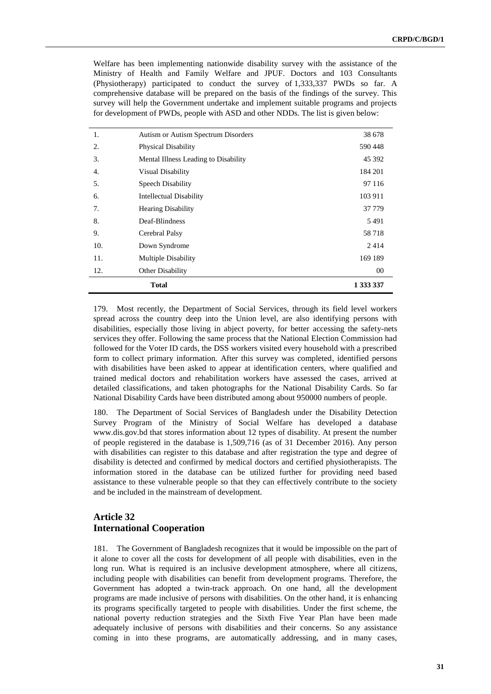Welfare has been implementing nationwide disability survey with the assistance of the Ministry of Health and Family Welfare and JPUF. Doctors and 103 Consultants (Physiotherapy) participated to conduct the survey of 1,333,337 PWDs so far. A comprehensive database will be prepared on the basis of the findings of the survey. This survey will help the Government undertake and implement suitable programs and projects for development of PWDs, people with ASD and other NDDs. The list is given below:

| 1.           | Autism or Autism Spectrum Disorders  | 38 678    |
|--------------|--------------------------------------|-----------|
| 2.           | <b>Physical Disability</b>           | 590 448   |
| 3.           | Mental Illness Leading to Disability | 45 392    |
| 4.           | <b>Visual Disability</b>             | 184 201   |
| 5.           | Speech Disability                    | 97 116    |
| 6.           | <b>Intellectual Disability</b>       | 103 911   |
| 7.           | <b>Hearing Disability</b>            | 37 779    |
| 8.           | Deaf-Blindness                       | 5491      |
| 9.           | Cerebral Palsy                       | 58718     |
| 10.          | Down Syndrome                        | 2414      |
| 11.          | <b>Multiple Disability</b>           | 169 189   |
| 12.          | Other Disability                     | 00        |
| <b>Total</b> |                                      | 1 333 337 |

179. Most recently, the Department of Social Services, through its field level workers spread across the country deep into the Union level, are also identifying persons with disabilities, especially those living in abject poverty, for better accessing the safety-nets services they offer. Following the same process that the National Election Commission had followed for the Voter ID cards, the DSS workers visited every household with a prescribed form to collect primary information. After this survey was completed, identified persons with disabilities have been asked to appear at identification centers, where qualified and trained medical doctors and rehabilitation workers have assessed the cases, arrived at detailed classifications, and taken photographs for the National Disability Cards. So far National Disability Cards have been distributed among about 950000 numbers of people.

180. The Department of Social Services of Bangladesh under the Disability Detection Survey Program of the Ministry of Social Welfare has developed a database www.dis.gov.bd that stores information about 12 types of disability. At present the number of people registered in the database is 1,509,716 (as of 31 December 2016). Any person with disabilities can register to this database and after registration the type and degree of disability is detected and confirmed by medical doctors and certified physiotherapists. The information stored in the database can be utilized further for providing need based assistance to these vulnerable people so that they can effectively contribute to the society and be included in the mainstream of development.

#### **Article 32 International Cooperation**

181. The Government of Bangladesh recognizes that it would be impossible on the part of it alone to cover all the costs for development of all people with disabilities, even in the long run. What is required is an inclusive development atmosphere, where all citizens, including people with disabilities can benefit from development programs. Therefore, the Government has adopted a twin-track approach. On one hand, all the development programs are made inclusive of persons with disabilities. On the other hand, it is enhancing its programs specifically targeted to people with disabilities. Under the first scheme, the national poverty reduction strategies and the Sixth Five Year Plan have been made adequately inclusive of persons with disabilities and their concerns. So any assistance coming in into these programs, are automatically addressing, and in many cases,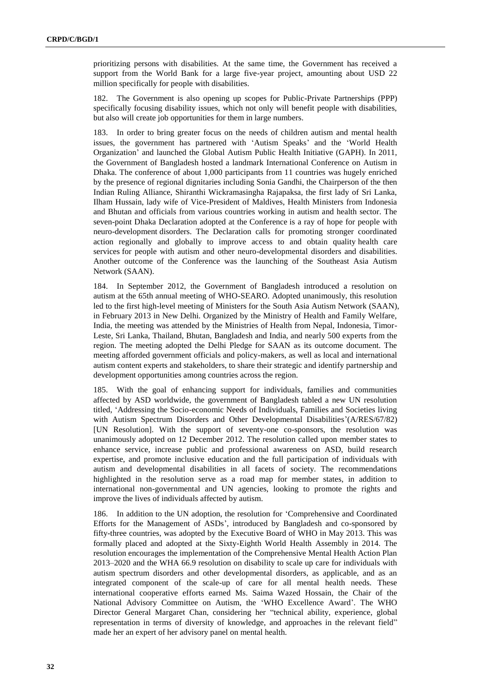prioritizing persons with disabilities. At the same time, the Government has received a support from the World Bank for a large five-year project, amounting about USD 22 million specifically for people with disabilities.

182. The Government is also opening up scopes for Public-Private Partnerships (PPP) specifically focusing disability issues, which not only will benefit people with disabilities, but also will create job opportunities for them in large numbers.

183. In order to bring greater focus on the needs of children autism and mental health issues, the government has partnered with 'Autism Speaks' and the 'World Health Organization' and launched the Global Autism Public Health Initiative (GAPH). In 2011, the Government of Bangladesh hosted a landmark International Conference on Autism in Dhaka. The conference of about 1,000 participants from 11 countries was hugely enriched by the presence of regional dignitaries including Sonia Gandhi, the Chairperson of the then Indian Ruling Alliance, Shiranthi Wickramasingha Rajapaksa, the first lady of Sri Lanka, Ilham Hussain, lady wife of Vice-President of Maldives, Health Ministers from Indonesia and Bhutan and officials from various countries working in autism and health sector. The seven-point Dhaka Declaration adopted at the Conference is a ray of hope for people with neuro-development disorders. The Declaration calls for promoting stronger coordinated action regionally and globally to improve access to and obtain quality health care services for people with autism and other neuro-developmental disorders and disabilities. Another outcome of the Conference was the launching of the Southeast Asia Autism Network (SAAN).

184. In September 2012, the Government of Bangladesh introduced a resolution on autism at the 65th annual meeting of WHO-SEARO. Adopted unanimously, this resolution led to the first high-level meeting of Ministers for the South Asia Autism Network (SAAN), in February 2013 in New Delhi. Organized by the Ministry of Health and Family Welfare, India, the meeting was attended by the Ministries of Health from Nepal, Indonesia, Timor-Leste, Sri Lanka, Thailand, Bhutan, Bangladesh and India, and nearly 500 experts from the region. The meeting adopted the Delhi Pledge for SAAN as its outcome document. The meeting afforded government officials and policy-makers, as well as local and international autism content experts and stakeholders, to share their strategic and identify partnership and development opportunities among countries across the region.

185. With the goal of enhancing support for individuals, families and communities affected by ASD worldwide, the government of Bangladesh tabled a new UN resolution titled, 'Addressing the Socio-economic Needs of Individuals, Families and Societies living with Autism Spectrum Disorders and Other Developmental Disabilities'(A/RES/67/82) [UN Resolution]. With the support of seventy-one co-sponsors, the resolution was unanimously adopted on 12 December 2012. The resolution called upon member states to enhance service, increase public and professional awareness on ASD, build research expertise, and promote inclusive education and the full participation of individuals with autism and developmental disabilities in all facets of society. The recommendations highlighted in the resolution serve as a road map for member states, in addition to international non-governmental and UN agencies, looking to promote the rights and improve the lives of individuals affected by autism.

186. In addition to the UN adoption, the resolution for 'Comprehensive and Coordinated Efforts for the Management of ASDs', introduced by Bangladesh and co-sponsored by fifty-three countries, was adopted by the Executive Board of WHO in May 2013. This was formally placed and adopted at the Sixty-Eighth World Health Assembly in 2014. The resolution encourages the implementation of the Comprehensive Mental Health Action Plan 2013–2020 and the WHA 66.9 resolution on disability to scale up care for individuals with autism spectrum disorders and other developmental disorders, as applicable, and as an integrated component of the scale-up of care for all mental health needs. These international cooperative efforts earned Ms. Saima Wazed Hossain, the Chair of the National Advisory Committee on Autism, the 'WHO Excellence Award'. The WHO Director General Margaret Chan, considering her "technical ability, experience, global representation in terms of diversity of knowledge, and approaches in the relevant field" made her an expert of her advisory panel on mental health.